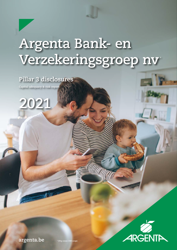# **Argenta Bank- en Verzekeringsgroep nv \***

**Pillar 3 disclosures** 

**Capital adequacy & risk report**





**argenta.be**

**\* BVg conso CRR scope**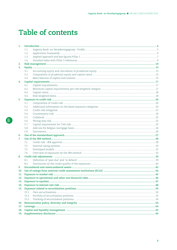# **Table of contents**

| 1.  |       |                                                                                                                                                                                                                                |  |
|-----|-------|--------------------------------------------------------------------------------------------------------------------------------------------------------------------------------------------------------------------------------|--|
|     | 1.1.  |                                                                                                                                                                                                                                |  |
|     | 1.2.  |                                                                                                                                                                                                                                |  |
|     | 1.3.  |                                                                                                                                                                                                                                |  |
|     | 1.4.  |                                                                                                                                                                                                                                |  |
| 2.  |       |                                                                                                                                                                                                                                |  |
| 3.  |       |                                                                                                                                                                                                                                |  |
|     | 3.1.  |                                                                                                                                                                                                                                |  |
|     | 3.2.  |                                                                                                                                                                                                                                |  |
|     | 3.3.  |                                                                                                                                                                                                                                |  |
| 4.  |       |                                                                                                                                                                                                                                |  |
|     | 4.1.  |                                                                                                                                                                                                                                |  |
|     | 4.2.  |                                                                                                                                                                                                                                |  |
|     | 4.3.  |                                                                                                                                                                                                                                |  |
|     | 4.4.  |                                                                                                                                                                                                                                |  |
| 5.  |       |                                                                                                                                                                                                                                |  |
|     | 5.1.  |                                                                                                                                                                                                                                |  |
|     | 5.2.  |                                                                                                                                                                                                                                |  |
|     | 5.3.  | Credit risk mitigation music content and content and content and content and content and content and content and content and content and content and content and content and content and content and content and content and c |  |
|     | 5.4.  |                                                                                                                                                                                                                                |  |
|     | 5.5.  |                                                                                                                                                                                                                                |  |
|     | 5.6.  |                                                                                                                                                                                                                                |  |
|     | 5.7.  |                                                                                                                                                                                                                                |  |
|     | 5.8.  |                                                                                                                                                                                                                                |  |
|     | 5.9.  |                                                                                                                                                                                                                                |  |
| 6.  |       |                                                                                                                                                                                                                                |  |
| 7.  |       |                                                                                                                                                                                                                                |  |
|     | 7.1.  |                                                                                                                                                                                                                                |  |
|     | 7.2.  |                                                                                                                                                                                                                                |  |
|     | 7.3.  |                                                                                                                                                                                                                                |  |
|     | 7.4.  |                                                                                                                                                                                                                                |  |
| 8.  |       |                                                                                                                                                                                                                                |  |
|     | 8.1.  |                                                                                                                                                                                                                                |  |
|     | 8.2.  |                                                                                                                                                                                                                                |  |
| 9.  |       |                                                                                                                                                                                                                                |  |
| 10. |       |                                                                                                                                                                                                                                |  |
| 11. |       |                                                                                                                                                                                                                                |  |
| 12. |       |                                                                                                                                                                                                                                |  |
|     |       |                                                                                                                                                                                                                                |  |
| 14. |       |                                                                                                                                                                                                                                |  |
| 15. |       |                                                                                                                                                                                                                                |  |
|     | 15.1. |                                                                                                                                                                                                                                |  |
|     | 15.2. |                                                                                                                                                                                                                                |  |
|     | 15.3. |                                                                                                                                                                                                                                |  |
| 16. |       |                                                                                                                                                                                                                                |  |
| 17. |       |                                                                                                                                                                                                                                |  |
| 18. |       |                                                                                                                                                                                                                                |  |
| 19. |       |                                                                                                                                                                                                                                |  |
|     |       |                                                                                                                                                                                                                                |  |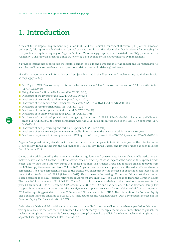# <span id="page-3-0"></span>**1. Introduction**

Pursuant to the Capital Requirement Regulation (CRR) and the Capital Requirement Directive (CRD) of the European Union (EU), this report is published on an annual basis. It contains all the information that is relevant for assessing the risk profile and capital adequacy of Argenta Bank- en Verzekeringsgroep nv, in abbreviated form BVg (hereinafter the "Company"). The report is prepared annually, following a pre-defined method, and validated by management.

It provides insight into aspects like the capital position, the size and composition of the capital and its relationship to, *inter alia*, credit, market, settlement and operational risk, expressed in risk-weighted items.

The Pillar 3 report contains information on all subjects included in the directives and implementing regulations, insofar as they apply to BVg:

- Part Eight of CRR (Disclosure by institutions better known as Pillar 3 disclosures, see section 1.3 for detailed index) (EBA/ITS/2020/04);
- EBA guidelines for Pillar 3 disclosures (EBA/GL/2016/11);
- Disclosure of the leverage ratio (EBA/ITS/2014/04/ rev1);
- Disclosure of own funds requirements (EBA/ITS/2013/01);
- Disclosure of encumbered and unencumbered assets (EBA/RTS/2017/03 and EBA/GL/2014/03);
- Disclosure of remuneration policy (EBA/GL/2015/22);
- Disclosure of countercyclical capital buffer (EBA/RTS/2014/07);
- Disclosure of liquidity coverage ratio (LCR) (EBA/GL/2017/01);
- Disclosure of transitional provisions for mitigating the impact of IFRS 9 (EBA/GL/2018/01), including guidelines to amend EBA/GL/2018/01 to ensure compliance with the CRR "quick fix" in response to the COVID-19 pandemic (EBA/ GL/2020/12);
- Disclosure of non-performing and forborne exposures (EBA/GL/2018/10);
- Disclosure of exposures subject to measures applied in response to the COVID-19 crisis (EBA/GL/2020/07);
- Disclosure requirements in compliance with CRR "quick fix" in response to the COVID-19 pandemic (EBA/GL/2020/11).

Argenta Group had initially decided not to use the transitional arrangements to limit the impact of the introduction of IFRS 9 on own funds. In this way the full impact of IFRS 9 on own funds, capital and leverage ratios has been reflected from 1 January 2018.

Owing to the crisis caused by the COVID-19 pandemic, regulators and governments have enabled credit institutions to make renewed use in 2020 of the IFRS 9 transitional measures in respect of the impact of the crisis on the expected credit losses, and to take these into own funds in a phased manner. The Argenta Group has received official approval from the ECB to apply these measures from 30 June 2020. Argenta uses the static component and the 'old' and 'new' dynamic component. The static component relates to the transitional measures for the increase in expected credit losses at the time of the introduction of IFRS 9 (1 January 2018). This increase (after setting off the shortfall against the expected losses according to the IRB (internal rating based) approach) amounts to EUR 450,568 and is added to the Common Equity Tier 1 capital in an amount of EUR 168,963. The old dynamic component relating to the transitional measures for the period 1 January 2018 to 31 December 2019 amounts to EUR 1,203,522 and has been added to the Common Equity Tier 1 capital in an amount of EUR 451,321. The new dynamic component concerns the transition period from 31 December 2019 to the reporting period (in this case 31 December 2021) and amounts to EUR 0. The total addition for Common Equity Tier 1 capital therefore amounts to EUR 620,284 (included under risk-weighted assets) with a consequent increase in the Common Equity Tier 1 capital ratio of 0.01%.

Only relevant fields and fields with values are shown in these disclosures, as well as in the tables appended to this report. Taking into account the fact that the European Banking Authority encourages the financial institutions to publish the tables and templates in an editable format, Argenta Group has opted to publish the relevant tables and templates in a separate Excel appendix to these Pillar 3 disclosures.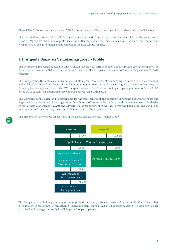<span id="page-4-0"></span>These Pillar 3 disclosures consist solely of disclosures concerning BVg consolidated in accordance with the CRR scope.

The information in these Pillar 3 disclosures is consistent with, and partially overlaps, that given in the IFRS annual reports (BVg and its subsidiary Argenta Spaarbank). Consequently, these disclosures should be viewed in conjunction with, inter alia, the 'Risk Management' chapter of the IFRS annual reports.

# **1.1. Argenta Bank- en Verzekeringsgroep - Profile**

The Company is registered in Belgium under Belgian law. Its legal form is that of a public limited liability company. The Company has been established for an unlimited duration, The Company's registered office is at Belgiëlei 49- 53, 2018 Antwerp.

The Company has the status of a mixed financial holding company, a parent company which is not a regulated company and which is at the head of a financial conglomerate pursuant to Art. 3, 39 of the Banking Act. On 6 September 2021, the Company filed an application with the ECB for approval as a mixed financial holding company, pursuant to Article 212/1 of the Banking Act. This application received ECB approval on 2 March 2022.

The Company consolidates and is responsible for the joint control of the subsidiaries Argenta Spaarbank (Aspa) and Argenta Assuranties (Aras). Aspa, together with its branch office in the Netherlands and the management subsidiaries Argenta Asset Management (AAM) and Arvestar Asset Management (Arvestar), forms the Bank Pool. The Bank Pool, insurer Aras and the Company are collectively referred to as the Argenta Group.

The presentation below gives an overview of the global structure of the Argenta Group.



The Company is the holding company of the Argenta Group. Its operations consist of Internal Audit, Compliance, Risk & Validation, Legal Affairs, Organisation & Talent and Non-Financial Risks & Supervisory Office. These activities are organised and managed centrally for all Argenta Group companies.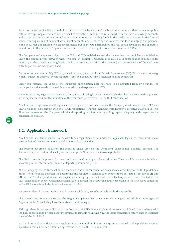<span id="page-5-0"></span>Aspa has the status of a Belgian credit institution, with the legal form of a public limited company that has made a public call for savings. Aspa's core activities consist of attracting funds in the retail market in the form of savings accounts and current accounts and to a limited extent term accounts, attracting funds in the institutional market in the form of bonds, offering means of payment via current accounts and reinvesting the collected funds in mortgage and personal loans, securities and lending to local governments, public-private partnerships and real estate developers and operators. In addition, it offers units in Argenta funds and in other undertakings for collective investment (UCIs).

The Company and Aspa are subject to the CRR and CRD legislations and the insurer Aras to the Solvency legislation. Given the dissimilarities between these two sets of 'capital' legislation, a so-called CRR consolidation is required for reporting at the consolidated BVg level. This is a consolidation without the insurer (i.e. a consolidation of the Bank Pool with BVg on an unconsolidated basis).

An important element at BVg CRR scope level is the application of the Danish Compromise (DC). This is a methodology which – subject to approval by the regulator – can be applied by mixed financial holding companies.

Under this method, the value of the insurance participation does not have to be deducted from own funds. The participation value needs to be weighted - as additional exposure - at 370%.

On 31 March 2021, Argenta also received a derogation, allowing it to continue to apply the historical cost method (instead of the equity method) for the valuation of the insurance participation in the CRR consolidation.

As a financial conglomerate with significant banking and insurance activities, the Company must, in addition to CRR and CRD legislation, also comply with the FICOD regulations (Financial Conglomerate Directive, directive 2002/87/EC). This directive imposes on the Company additional reporting requirements regarding capital adequacy with respect to the consolidated position.

# **1.2. Application framework**

Any financial institution subject to the own funds regulations must, under the applicable legislative framework, make certain defined disclosures about its risk and own funds position.

The present document publishes the required disclosures on the Company's consolidated financial position. The document is published in full each year on the Argenta Group website ([www.argenta.be\)](http://www.argenta.be).

The disclosures in the present document relate to the Company and its subsidiaries. The consolidation scope is defined according to the International Financial Reporting Standards (IFRS).

At the Company, the IFRS consolidation scope and the CRR consolidation scope (scope according to the CRR guidelines) differ. The differences between the accounting and regulatory consolidation scope can be extracted from tables **LI1** and **LI2** (in the Excel appendix) and are explained mainly by the fact that the subsidiary Aras is not included in the CRR consolidation scope. A detailed reconciliation between the accounting equity according to the CRR scope compared to the IFRS scope is included in table 3 (see section 3.1).

For an overview of the entities included in the consolidation, we refer to table **LI3** in the appendix.

The Luxembourg company AAM and the Belgian company Arvestar act as funds managers and administrative agent of Argenta funds. As such they have the status of fund manager.

Although there is no capital link with the Company, the SPV Green Apple entities are consolidated in accordance with the IFRS consolidation principles for structured undertakings. In this way, the loans transferred return onto the balance sheet of the Bank Pool.

Further information on these Green Apple SPVs can be found in Chapter 15. Exposure to securitisation positions. Argenta Spaarbank carried out securitisation operations in 2017, 2018, 2019 and 2021.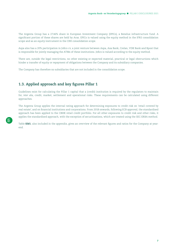<span id="page-6-0"></span>The Argenta Group has a 27.46% share in European Investment Company (EPICo), a Benelux infrastructure fund. A significant portion of these shares are held by Aras. EPICo is valued using the equity method in the IFRS consolidation scope and as an equity instrument in the CRR consolidation scope.

Aspa also has a 20% participation in Jofico cv, a joint venture between Aspa, Axa Bank, Crelan, VDK Bank and Bpost that is responsible for jointly managing the ATMs of these institutions. Jofico is valued according to the equity method.

There are, outside the legal restrictions, no other existing or expected material, practical or legal obstructions which hinder a transfer of equity or repayment of obligations between the Company and its subsidiary companies.

The Company has therefore no subsidiaries that are not included in the consolidation scope.

# **1.3. Applied approach and key figures Pillar 1**

Guidelines exist for calculating the Pillar 1 capital that a (credit) institution is required by the regulators to maintain for, *inter alia,* credit, market, settlement and operational risks. These requirements can be calculated using different approaches.

The Argenta Group applies the internal rating approach for determining exposures to credit risk on 'retail covered by real estate', and on financial institutions and corporations. From 2018 onwards, following ECB approval, the standardised approach has been applied to the CBHK retail credit portfolio. For all other exposures to credit risk and other risks, it applies the standardised approach, with the exception of securitisations, which are treated using the SEC-ERBA method.

Table **KM1**, also included in the appendix, gives an overview of the relevant figures and ratios for the Company at yearend.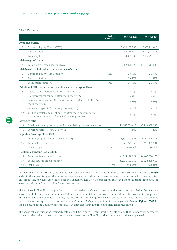*Table 1: Key metrics*

|                |                                                                                                               | <b>RAF</b><br>standard | 31/12/2020     | 31/12/2021     |
|----------------|---------------------------------------------------------------------------------------------------------------|------------------------|----------------|----------------|
|                | Available capital                                                                                             |                        |                |                |
| $\mathbf{1}$   | Common Equity Tier 1 (CET1)                                                                                   |                        | 2,459,158,880  | 2,497,211,416  |
| $\overline{2}$ | Tier 1 capital (T1)                                                                                           |                        | 2,459,158,880  | 2,497,211,416  |
| 3              | Total capital                                                                                                 |                        | 2,688,058,402  | 2,497,211,416  |
|                | Risk-weighted items                                                                                           |                        |                |                |
| $\overline{4}$ | Total risk-weighted assets (RWA)                                                                              |                        | 10,382,396,823 | 11,578,513,602 |
|                | Risk-based capital ratios as a percentage of RWA                                                              |                        |                |                |
| 5              | Common Equity Tier 1 ratio (%)                                                                                | 15%                    | 23.69%         | 21.57%         |
| 6              | Tier 1 capital ratio (%)                                                                                      |                        | 23.69%         | 21.57%         |
| $\overline{7}$ | Total capital ratio (%)                                                                                       | 17%                    | 25.89%         | 21.57%         |
|                | Additional CET1 buffer requirements as a percentage of RWA                                                    |                        |                |                |
| 8              | Capital conservation buffer requirements (%)                                                                  |                        | 2.50%          | 2.50%          |
| 9              | Countercyclical capital buffer requirement (%)                                                                |                        | 0.01%          | 0.01%          |
| 10             | O-SII (Other Systemically Important Institution) capital buffer<br>requirements (%)                           |                        | 0.75%          | 0.75%          |
| 11             | Total CET1 specific buffer requirements (%)                                                                   |                        | 3.26%          | 3.26%          |
| 12             | % CET1 available to meet buffers after meeting minimum<br>capital requirements (after 4.5% basic requirement) |                        | 19.19%         | 17.07%         |
|                | Leverage ratio                                                                                                |                        |                |                |
| 13             | Baseline total exposure figure for calculating the leverage ratio                                             |                        | 46,668,879,413 | 47,763,868,083 |
| 14             | Leverage ratio (%) (row 2 / row 13)                                                                           | 4%                     | 5.27%          | 5.23%          |
|                | Liquidity Coverage Ratio (LCR)                                                                                |                        |                |                |
| 15             | Total high-quality liquid assets (HQLA)                                                                       |                        | 5,883,643,926  | 6,260,245,233  |
| 16             | Total net cash outflow                                                                                        |                        | 3,666,221,755  | 3,611,885,001  |
| 17             | LCR ratio (%)                                                                                                 | 125%                   | 160.48%        | 167.42%        |
|                | Net Stable Funding Ratio (NSFR)                                                                               |                        |                |                |
| 18             | Total available stable funding                                                                                |                        | 41,324,128,924 | 44,449,264,175 |
| 19             | Total required stable funding                                                                                 |                        | 30,594,661,540 | 30,523,335,443 |
| 20             | NSFR ratio (%)                                                                                                | 120%                   | 135.07%        | 145.62%        |

As mentioned earlier, the Argenta Group has used the IFRS 9 transitional measures from 30 June 2020. Table **IFRS9**, added in the appendix, gives the impact on leverage and capital ratios if these temporary measures had not been applied. This impact is, however, very limited for the Company. The Tier 1 (core) capital ratio and the total capital ratio and the leverage ratio would be 21.56% and 5.23% respectively.

The Bank Pool's liquidity risk appetite is also monitored on the basis of the LCR and NSFR ratios provided in the overview above. The LCR compares the liquidity buffer against a predefined outflow of financial liabilities over a 30-day period. The NSFR compares available liquidity against the liquidity required over a period of at least one year. A detailed description of the liquidity risk can be found in Chapter 18. Capital and liquidity management. Tables **LIQ1** and **LIQ2** for the disclosure of the liquidity coverage ratio and net stable funding ratio are included in the annex.

The above table includes the internally established Risk Appetite Framework (RAF) standards that Company management has set for the ratios in question. The targets for leverage and liquidity ratios are set at subsidiary Aspa level.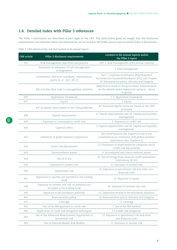# <span id="page-8-0"></span>**1.4. Detailed index with Pillar 3 references**

The Pillar 3 disclosures are described in part eight of the CRR. The table below gives an insight into the disclosure requirements and indicates where the information can be found in the (IFRS) annual reports and/or Pillar 3 disclosures.

| <b>CRR</b> article | Pillar 3 disclosure requirements                                                | Location in the annual reports and/or<br>the Pillar 3 report                                                                                               |
|--------------------|---------------------------------------------------------------------------------|------------------------------------------------------------------------------------------------------------------------------------------------------------|
| 435                | Risk management objectives and policies                                         | Part 5. Risk management (IFRS annual reports)                                                                                                              |
|                    | Statement on adequacy of risk management<br>arrangements                        | 2. Risk management                                                                                                                                         |
|                    | Governance, directors' mandates, remuneration<br>policy el. al. (Art. 4352)     | Part 7. Corporate Governance (BVg Integrated<br>Activities and Sustainability Report 2021) and Chapter<br>16. Remuneration policy, diversity and integrity |
|                    | 435.2 (e) data flow risks to management entitities                              | Reference is made to the governance memorandum<br>on the website (www.argenta.be -general - about<br>Argenta)                                              |
| 436                | Application framework                                                           | 1.2. Application framework                                                                                                                                 |
| 437                | Equity                                                                          | 3. Equity                                                                                                                                                  |
|                    | 437 (f) capital ratios based on the CRR guidelines                              | All disclosed capital ratios are based on the CRR<br>principles                                                                                            |
| 438                | Capital requirements                                                            | 4. Capital requirements and 18. Capital and liquidity<br>management                                                                                        |
| 439                | Exposure to counterparty credit risk                                            | 5. Exposure to credit risk                                                                                                                                 |
| 440                | Capital buffers                                                                 | 4. Capital requirements and 18. Capital and liquidity<br>management                                                                                        |
| 441                | Indicators of global systemic importance                                        | Not listed because the Argenta Group is not<br>considered as an institution with global systemic<br>importance (see chapter 4.1)                           |
| 442                | Credit risk adjustments                                                         | 5.2 Disclosure on Basel exposure categories and 8.<br>Credit risk adjustments                                                                              |
| 443                | Unencumbered assets                                                             | 9. Encumbered and unencumbered assets                                                                                                                      |
| 444                | Use of ECAIs                                                                    | 10. Use of ratings from external credit assessment<br>institutions (ECAI)                                                                                  |
| 445                | Exposure to market risk                                                         | 11. Exposure to market risk                                                                                                                                |
| 446                | Operational risk                                                                | 12. Exposure to operational risk and other non-<br>financial risks                                                                                         |
| 447                | Exposures to equities not included in the trading<br>book                       | 13. Exposure to equity                                                                                                                                     |
| 448                | Exposure to interest rate risk on positions not<br>included in the trading book | 14. Exposure to interest rate risk                                                                                                                         |
| 449                | Exposure to securitisation positions                                            | 15. Exposures related to securitisation positions                                                                                                          |
| 450                | Remuneration policy                                                             | 16. Remuneration policy, diversity and integrity                                                                                                           |
| 451                | Leverage                                                                        | 17. Leverage                                                                                                                                               |
| 452                | Use of the IRB approach to credit risk                                          | 7. Use of the IRB method                                                                                                                                   |
| 453                | Application of credit risk mitigation techniques                                | 5.3 Credit risk mitigation                                                                                                                                 |
| 454                | Use of the Advanced Measurement Approaches to<br>operational risk               | 12. Exposure to operational risk and other<br>non-financial risks                                                                                          |
| 455                | Use of Internal Market Risk Models                                              | 11. Exposure to market risk                                                                                                                                |

*Table 2: CRR-related articles and their location in the annual reports*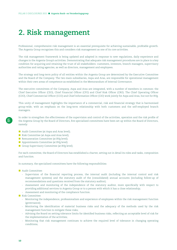# <span id="page-9-0"></span>**2. Risk management**

Professional, comprehensive risk management is an essential prerequisite for achieving sustainable, profitable growth. The Argenta Group recognises this and considers risk management as one of its core activities.

The risk management framework is being updated and adapted in response to new regulations, daily experience and changes in the Argenta Group's activities. Demonstrating that adequate risk management procedures are in place is a key condition for acquiring and retaining the trust of all stakeholders: customers, investors, branch managers, supervisory authorities and rating agencies, as well as directors, management and employees.

The strategy and long-term policy of all entities within the Argenta Group are determined by the Executive Committee and the Board of the Company. The two main subsidiaries, Aspa and Aras, are responsible for operational management within their own areas of competence as established in the Memorandum of Internal Governance.

The executive committees of the Company, Aspa and Aras are integrated, with a number of members in common: the Chief Executive Officer (CEO), Chief Financial Officer (CFO) and Chief Risk Officer (CRO). The Chief Operating Officer (COO), Chief Commercial Officer (CCO) and Chief Information Officer (CIO) work jointly for Aspa and Aras, but not for BVg.

This unity of management highlights the importance of a commercial, risk and financial strategy that is harmonised group-wide, with an emphasis on the long-term relationship with both customers and the self-employed branch managers.

In order to strengthen the effectiveness of the supervision and control of the activities, operation and the risk profile of the Argenta Group by the Board of Directors, five specialised committees have been set up within the Board of Directors, namely:

- Audit Committee (at Aspa and Aras level);
- Risk Committee (at Aspa and Aras level);
- Remuneration Committee (at BVg level);
- **Appointments Committee (at BVg level):**
- Group Supervisory Committee (at BVg level).

For each committee, the Board of Directors has established a charter, setting out in detail its roles and tasks, composition and function.

In summary, the specialised committees have the following responsibilities:

- **Audit Committee:** 
	- Supervision of the financial reporting process, the internal audit (including the internal control and risk management systems) and the statutory audit of the (consolidated) annual accounts (including follow-up of recommendations and questions received from the statutory auditor);
	- Assessment and monitoring of the independence of the statutory auditor, more specifically with respect to providing additional services to Argenta Group or to a person with which it has a close relationship;
	- Assessment and monitoring of the compliance function.
- Risk Committee:
	- Monitoring the independence, professionalism and experience of employees within the risk management function (governance);
	- Monitoring the identification of material business risks and the adequacy of the methods used by the risk management function to mitigate these risks;
	- Advising the Board on setting tolerance limits for identified business risks, reflecting an acceptable level of risk for the implementation of the activities;
	- Monitoring that risk management continues to achieve the required level of tolerance in changing operating conditions;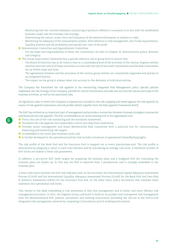- Monitoring that the commercialisation and pricing of products offered to customers is in line with the established business model and the business risk strategy;
- Determining the nature, scope, form and frequency of the desired information in relation to risks;
- Monitoring the adequacy of the remuneration system, with reference to risk management, own funds requirements, liquidity position and the probability and spread over time of the profit.
- Remuneration Committee and Appointments Committee:
	- For the tasks and responsibilities of these two committees, we refer to Chapter 16. Remuneration policy, diversity and integrity.
- **The Group Supervisory Committee has a specific advisory role at group level to ensure that:** 
	- The Board of Directors has at all times a view at a consolidated level of the activities of the various Argenta entities and that internal control of these activities is in line with the role of the Audit Committees and the Risk Committees set up within Aspa and Aras;
	- The agreements between and the processes of the various group entities are consistently organised and operate in an integrated fashion;
	- The impact on the group is always taken into account in the decisions of individual entities.

The Company has formalised the risk appetite in the overarching Integrated Risk Management policy. Specific policies implement the risk strategy of the Company, provide for control mechanisms and take into account the nature and scope of the business activities, as well as the associated risks.

All significant risks to which the Company is exposed are included in the risk mapping and tested against the risk appetite by means of risk appetite statements and risk profiles (which together form the Risk Appetite Framework (RAF)).

The RAF has evolved as an important part of management and provides a connection between business strategies (commercial and financial) and risk appetite. The RAF is embedded as an active steering tool in the organisation and:

- Forms the core of the risk monitoring and the escalation framework;
- $\blacksquare$  Translates the risk appetite into measurable criteria and objectives (indicators);
- Provides senior management and Board Members/the Risk Committee with a practical tool for communicating, measuring and monitoring risk targets;
- Is embedded in the multi-year business cycle; and
- Is further developed in the operational policies that include a broad set of operational limits/flashing lights.

The risk profile of the Bank Pool and the Insurance Pool is mapped out at every quarter/year-end. The risk profile is determined by assigning a colour to each risk indicator and by calculating an average risk score. A limitative number of RAF limits are linked to these risk parameters.

In addition, a pro-active RAF (with targets for preparing the business plan) and a budgeted RAF (for evaluating the business plan) are drawn up. In this way the RAF is reported from 3 perspectives and is strongly embedded in the business plan.

A direct link exists between the RAF risk indicators and, on the one hand, the International Capital Adequacy Assessment Process (ICAAP) and the International Liquidity Adequacy Assessment Process (ILAAP) for the Bank Pool and Own Risk & Solvency Assessment (ORSA) for the Insurance Pool and, on the other hand, policy documents that translate these indicators into operational risk limits.

This results in the daily embedding of risk awareness in first line management and in better and more efficient risk management processes. In 2021, the Argenta Group continued to build on its prudent and transparent risk management with the aforementioned RAF, policies, procedures and working instructions (including the roll-out of the end-to-end integrated risk management universe by composing L3 procedures and L4 working instructions).



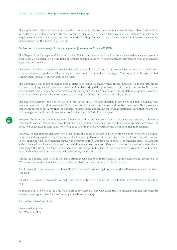The way in which the information on the risks is reported to the competent management bodies is described in detail in the Governance Memorandum. The most recent version of this document (only available in Dutch) is available on the Argenta website (see [www.argenta.be](http://www.argenta.be), then under the heading 'algemeen', click on 'over Argenta' and then on 'Governance memorandum') in the section 'Het bestuur'.

#### **Declaration of the adequacy of risk management (pursuant to Article 435 CRR)**

The Chapter 'Risk Management' (included in the IFRS annual reports published on the Argenta website [www.argenta.be](http://www.argenta.be) gives a detailed description of the risks at Argenta Group and of the risk management framework (risk management objectives and policy).

The Company's risk management policy and attendant organisational structuring are designed to ensure that the known risks are always properly identified, analysed, measured, monitored and managed. The policy line 'Integrated Risk Management' applies in an overarching manner.

The Company's risk mapping makes here a distinction between, among other things, financial risks (market, credit, business, liquidity, capital, climate, model and underwriting risks (the latter within the Insurance Pool), …) and non-financial risks (compliance, information security & cyber, fraud, IT, business continuity, data management, sourcing, human resources, process, legal (& regulatory), strategic & change, brand & sustainability risks).

The risk management and control systems are based on a risk identification process via the risk mapping, with measurement via the aforementioned RAF, in combination with prevention and control measures. This provides a reasonable degree of certainty that the financial reporting does not contain material misstatements and that the internal risk management and control systems worked well during the 2021 financial year.

However, the internal risk management framework and control systems cannot offer absolute certainty. Inherently, cost/benefit considerations are always taken into account when accepting risks and taking management measures. The Executive Committee is continuously striving to further improve and optimise the Company's risk management.

For 2021, the risk management function prepared for the Board of Directors' Risk Committee an internal control annual report, an activity report with action plan and RAF reporting. These documents come to the conclusion that, with respect to the financial risks, the financial result was achieved within Argenta's risk appetite for financial risks for 2021 and within the legal requirements imposed on the risk management function. They also point to the need to be attentive to both financial risks (with a focus, as hot spot risks, on market risk, business risk and climate risk) and to non-financial risks (with a focus on information security and cyber, fraud and IT risk).

Within the financial risks, in 2021 increased attention was paid to (i) market risk, (ii) climate risk and (iii) credit risk. In 2021, new risk profiles were added with model risk (RAF limit) and climate risk (RAF metrics).

For climate risk, the climate action plan will be further developed, taking into account the self-assessment and regulator feedback.

For 2022, the focus for financial risks will this time mainly be on climate risk, in addition to market risk and business risk.

As required in Article 435 of the CRR, we declare that we have, in our view, taken the risk management measures that are necessary and appropriate for the Company's profile and strategy.

For the Executive Committee.

Geert Ameloot (CFO) Gert Wauters (CRO)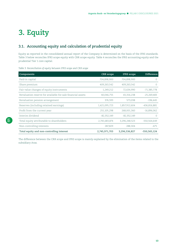# <span id="page-12-0"></span>**3. Equity**

# **3.1. Accounting equity and calculation of prudential equity**

Equity as reported in the consolidated annual report of the Company is determined on the basis of the IFRS standards. Table 3 below reconciles IFRS scope equity with CRR scope equity. Table 4 reconciles the IFRS accounting equity and the prudential Tier 1 core capital.

*Table 3: Reconciliation of equity between IFRS scope and CRR scope*

| Components                                                  | <b>CRR</b> scope | <b>IFRS</b> scope | <b>Difference</b> |
|-------------------------------------------------------------|------------------|-------------------|-------------------|
| Paid-in capital                                             | 704,898,900      | 704,898,900       | $\left($          |
| Share premium                                               | 409,263,542      | 409,263,542       | 0                 |
| Fair value changes of equity instruments                    | 1,249,212        | 72,634,990        | $-71,385,778$     |
| Revaluation reserve for available-for-sale financial assets | 40,046,755       | 65,316,238        | $-25,269,483$     |
| Revaluation pension arrangement                             | 376,593          | 573,038           | $-196,445$        |
| Reserves (including retained earnings)                      | 1,421,095,723    | 1,857,912,604     | $-436,816,881$    |
| Profit from the current year                                | 251,105,298      | 268,001,360       | $-16,896,062$     |
| Interim dividend                                            | $-82,352,149$    | $-82,352,149$     | $\left( \right)$  |
| Total equity attributable to shareholders                   | 2,745,683,874    | 3,296,248,523     | -550,564,649      |
| Non-controlling interests                                   | 287,829          | 288,304           | $-475$            |
| Total equity and non-controlling interest                   | 2,745,971,703    | 3,296,536,827     | -550,565,124      |

The difference between the CRR scope and IFRS scope is mainly explained by the elimination of the items related to the subsidiary Aras.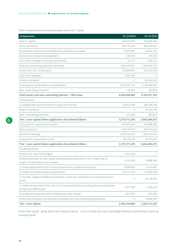*Table 4: Reconciliation of accounting equity versus Tier 1 equity*

| Components                                                                                                             | 31/12/2020     | 31/12/2021     |
|------------------------------------------------------------------------------------------------------------------------|----------------|----------------|
| Paid-in capital                                                                                                        | 687,413,600    | 704,898,900    |
| Share premium                                                                                                          | 356,795,403    | 409,263,542    |
| Revaluation reserve for available-for-sale financial assets                                                            | 57,472,435     | 40,046,755     |
| Revaluation pension arrangement                                                                                        | $-185,446$     | 376,593        |
| Fair value changes of equity instruments                                                                               | 32,712         | 1,249,212      |
| Reserves (including retained earnings)                                                                                 | 1,366,297,067  | 1,421,095,723  |
| Profit from the current year                                                                                           | 133,869,493    | 251,105,298    |
| Cash flow hedging                                                                                                      | $-1,301,563$   | $\circ$        |
| Interim dividend                                                                                                       | 0              | $-82,352,149$  |
| Total equity attributable to shareholders                                                                              | 2,600,393,701  | 2,745,683,874  |
| Non-controlling interests                                                                                              | 214,382        | 287,829        |
| Total equity and non-controlling interest - CRR scope                                                                  | 2,600,608,083  | 2,745,971,703  |
| Adjustments                                                                                                            |                |                |
| (-) Inapplicable part of interim or year-end results                                                                   | $-20,622,408$  | $-185,549,348$ |
| Interim dividend                                                                                                       | 0              | 82,352,149     |
| Non-controlling interests                                                                                              | $-214,382$     | $-287,829$     |
| Tier 1 core capital before application of prudential filters                                                           | 2,579,771,293  | 2,642,486,675  |
| Fully paid-in capital instruments                                                                                      | 687,413,600    | 704,898,900    |
| Share premium                                                                                                          | 356,795,403    | 409,263,542    |
| Retained earnings                                                                                                      | 1,479,544,152  | 1,486,651,673  |
| Cumulative unrealised results                                                                                          | 56,018,138     | 41,672,560     |
| Tier 1 core capital before application of prudential filters                                                           | 2,579,771,293  | 2,642,486,675  |
| Prudential filters                                                                                                     |                |                |
| Reserve for cash flow hedges                                                                                           | 1,301,563      | $\circ$        |
| Profits and losses (at fair value) deriving from institution's own credit risk in<br>respect of derivative instruments | $-4,211,656$   | $-6,888,789$   |
| (-) Value adjustments due to requirements for prudential valuation                                                     | $-3,884,828$   | $-4,010,891$   |
| (-) Other intangible assets and goodwill                                                                               | $-113,257,910$ | $-113,894,758$ |
| (-) For IRB, negative difference between credit risk adjustments and expected loss<br>items                            | 0              | $-16,278,355$  |
| (-) Deferred tax assets that rely on future profitability excluding those arising from<br>temporary differences        | $-3,377,249$   | $-1,136,210$   |
| Transitional measures IFRS 9 (expected credit losses)                                                                  | 2,817,667      | 620,284        |
| Deduction relating to prudential provisions for non-performing exposures                                               | 0              | $-3,686,540$   |
| Tier 1 core capital                                                                                                    | 2,459,158,880  | 2,497,211,416  |

It has been opted - given their non-material nature - not to include the non-controlling interests as prudential equity at Company level.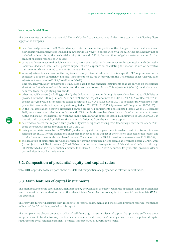#### <span id="page-14-0"></span>**Note on prudential filters**

The CRR specifies a number of prudential filters which lead to an adjustment of Tier 1 core capital. The following filters apply to the Company:

- cash flow hedge reserve: the IRFS standards provide for the effective portion of the changes in the fair value of a cash flow hedging instrument to be included in own funds. However, in accordance with the CRR, this amount may not be included in determining the prudential equity. At the end of 2021, the cash flow hedge has matured, and no further amount has been recognised in equity;
- **E** gains and losses measured at fair value arising from the institution's own exposure in connection with derivative liabilities: deducted here is the positive impact of own exposure in calculating the market values of derivative instruments. This amounted to EUR 6,888,789 at end-2021;
- value adjustments as a result of the requirements for prudential valuation: this is a specific CRR requirement in the context of a prudent valuation of financial instruments measured at fair value in the IFRS balance sheet (this valuation adjustment amounted to EUR 4,010,891 at end-2021);

This 'prudent valuation' adjustment is calculated based on the financial instruments that are carried on the balance sheet at market values and which can impact the result and/or own funds. This adjustment (of 0.1%) is calculated and deducted from the qualifying own funds;

- other intangible assets (including goodwill): the deduction of the other intangible assets less deferred tax liabilities as provided for in the CRR regulations. As of end 2021, the net impact amounted to EUR 113,894,758. As of December 2021, the net carrying value (after deferred taxes) of software (EUR 24,382,525 at end-2021) is no longer fully deducted from prudential own funds, but is partially risk-weighted at 100% (EUR 17,115,755) (pursuant to EU regulation 2020/2176);
- **I** in the IRB application: negative difference between credit risk adjustments and expected losses. As of 31 December 2021, impairments recorded in accordance with IFRS standards were less than the calculated expected credit losses. At the end of 2021, the shortfall between the impairments and the expected losses (EL) amounted to EUR 16,278,355. In line with with prudential guidelines, this amount is deducted from the Tier 1 core capital;
- deferred tax assets that rely on future profitability (excluding those arising from temporary differences). At end-2021, these deferred tax assets amounted to EUR 1,136,210;
- owing to the crisis caused by the COVID-19 pandemic, regulators and governments enabled credit institutions to make renewed use in 2021 of the transitional measures in respect of the impact of the crisis on expected credit losses, and to take these into own funds in a phased manner. The amount of this IFRS 9 transitional measure was EUR 620,284;
- the deduction of prudential provisions for non-performing exposures arising from loans granted before 26 April 2019 (not subject to the Pillar 1 treatment). The ECB has communicated the expectation of this additional deduction through SREP letters to banks. This deduction amounts to EUR 3,686,540. The Pillar 1 deduction for prudential provisions (loans granted after 26 April 2019) is EUR 0.

# **3.2. Composition of prudential equity and capital ratios**

Table **CC1**, appended to this report, shows the detailed composition of equity and the relevant capital ratios.

# **3.3. Main features of capital instruments**

The main features of the capital instruments issued by the Company are described in the appendix. This description has been included in the standard format of the relevant table ("main features of capital instruments", see template **CCA** in the appendix).

This provides further disclosure with respect to the 'capital instruments and the related premium reserves' mentioned in line 1 of the **CC1** table appended to this report.

The Company has always pursued a policy of self-financing. To retain a level of capital that provides sufficient scope for growth and to be able to carry the financial and operational risks, the Company aims to meet the potential capital requirements by (a) retained earnings, (b) capital increases and (c) subordinated loans.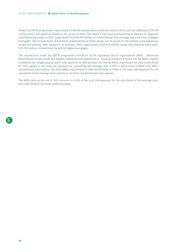Under the EMTN programme, Aspa issued a EUR 500 million senior preferred bond in 2019, and two additional EUR 500 million senior non-preferred bonds in the course of 2020. This added a new source of financing in addition to Argenta's retail financing model. In 2021, Aspa issued two EUR 500 million of covered bonds. The coverage takes the form of Belgian mortgages. The prospectuses and investor presentations of these issues can be found on the website [www.argenta.eu](http://www.argenta.eu)  (under the heading "debt issuance"). In February 2022, Aspa issued a EUR 600 million senior non-preferred bond and a EUR 500 million covered bond backed by Belgian mortgages.

The transactions under the EMTN programme contribute to the regulatory bail-in requirements (MREL - Minimum Requirement on own funds and Eligible Liabilities) and enhance the A- rating at Standard & Poor's. For the MREL, Aspa is considered the 'single point of entry' and, based on an SRB decision, an interim MREL requirement for 2022 (01/01/2022) of 7.16% applies to the total risk exposure for calculating the leverage ratio, 6.41% of which must fulfilled with MREL subordinated instruments. The final MREL requirement in 2024 (01/01/2024) is 7.98% of the total risk exposure for the calculation of the leverage ratio, entirely in the form of subordinated instruments.

The MREL ratio at the end of 2021 amounts to 8.09% of the total risk exposure for the calculation of the leverage ratio, and 7.03% without the senior preferred notes.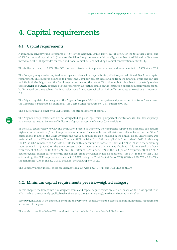# <span id="page-16-0"></span>**4. Capital requirements**

# **4.1. Capital requirements**

A minimum solvency ratio is required of 4.5% of the Common Equity Tier 1 (CET1), of 6% for the total Tier 1 ratio, and of 8% for the total capital ratio (these are the Pillar 1 requirements). Additionally, a number of additional buffers were introduced. The CRD provides for three additional capital buffers including a capital conservation buffer (CCB).

This buffer can be up to 2.50%. The CCB has been introduced in a phased manner, and has amounted to 2.50% since 2019.

The Company may also be required to set up a countercyclical capital buffer, effectively an additional Tier 1 core capital requirement. This buffer is designed to protect the Company against risks arising from the financial cycle and can rise to 2.5%. Both the Belgian and the Dutch regulators have set the rate at 0% until now, but it is subject to quarterly review. Tables **CCyB1** and **CCyB2** appended to this report provide further details on the institution-specific countercyclical capital buffer. Based on these tables, the institution-specific countercyclical capital buffer amounts to 0.01% at 31 December 2021.

The Belgian regulator has designated the Argenta Group as O-SII or 'other systemically important institution'. As a result the Company is subject to an additional Tier 1 core capital requirement (O-SII buffer) of 0.75%.

The 3 buffers must be met with CET1 capital (the strongest form of capital).

The Argenta Group institutions are not designated as global systemically important institutions (G-SIIs). Consequently, no disclosures need to be made of indicators of global systemic relevance (CRR Article 441).

In the SREP (Supervisory Review and Evaluation Process) framework, the competent supervisory authority can require higher minimum ratios (Pillar 2 requirements) because, for example, not all risks are fully reflected in the Pillar 1 calculations. In light of the Covid-19 pandemic, the 2020 capital decision included in the annual global SREP review was maintained by the ECB at 2019 levels. The new SREP decision from 2021 is applicable from 1 March 2022. In this way the P2R in 2021 remained at 1.75% (to be fulfilled with a minimum of 56.25% in CET1 and 75% in T1 with the remaining requirement in T2). Based on the SREP process, a CET1 requirement of 8.74% was obtained. This consisted of a basic requirement of 4.5%, the CCB of 2.50%, an O-SII buffer of 0.75% and 56.25% of the P2R (pillar 2 requirement) of 1.75%. A countercyclical capital buffer of 0.01% also applies. Since the Company has no additional Tier 1 (AT1) and no Tier 2 (T2) outstanding, the CET1 requirement is de facto 13.01%, being the Total Capital Ratio (TCR) (8.74% + 1.5% AT1 + 2.0% T2 + the remaining P2R). In the 2021 SREP decision, the P2R drops to 1.50%.

The Company amply met all these requirements in 2021 with a CET1 (IRB) and TCR (IRB) of 21.57%.

# **4.2. Minimum capital requirements per risk-weighted category**

In this chapter the Company's risk-weighted items and capital requirements are set out, based on the risks specified in Pillar 1 which are currently applicable (i.e. the credit, CVA (counterparty), market and operational risks).

Table **OV1**, included in the appendix, contains an overview of the risk-weighted assets and minimum capital requirements at the end of the year.

The totals in line 29 of table OV1 therefore form the basis for the more detailed disclosures.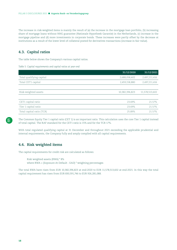<span id="page-17-0"></span>The increase in risk-weighted items is mainly the result of (a) the increase in the mortgage loan portfolio, (b) increasing share of mortgage loans without NHG guarantee (Nationale Hypotheek Garantie) in the Netherlands, (c) increase in the mortgage pipeline and (d) more investments in corporate bonds. These increases were partly offset by the decrease at institutions as a result of the lower level of collateral posted for derivatives transactions (increase in fair value).

# **4.3. Capital ratios**

The table below shows the Company's various capital ratios.

*Table 5: Capital requirements and capital ratios at year-end*

|                           | 31/12/2020     | 31/12/2021     |
|---------------------------|----------------|----------------|
| Total qualifying capital  | 2,688,058,402  | 2,497,211,416  |
| Total CET1 capital        | 2,459,158,880  | 2,497,211,416  |
|                           |                |                |
| Risk-weighted assets      | 10,382,396,823 | 11,578,513,602 |
|                           |                |                |
| CET1 capital ratio        | 23.69%         | 21.57%         |
| Tier 1 capital ratio      | 23.69%         | 21.57%         |
| Total capital ratio (TCR) | 25.89%         | 21.57%         |

The Common Equity Tier 1 capital ratio (CET 1) is an important ratio. This calculation uses the core Tier 1 capital instead of total capital. The RAF standard for the CET1 ratio is 15% and for the TCR 17%.

With total regulated qualifying capital at 31 December and throughout 2021 exceeding the applicable prudential and internal requirements, the Company fully and amply complied with all capital requirements.

# **4.4. Risk weighted items**

The capital requirements for credit risk are calculated as follows:

Risk weighted assets (RWA) \* 8% where RWA = (Exposure At Default - EAD) \* weighting percentages

The total RWA have risen from EUR 10,382,396,823 at end-2020 to EUR 11,578,513,602 at end-2021. In this way the total capital requirement has risen from EUR 830,591,746 to EUR 926,281,088.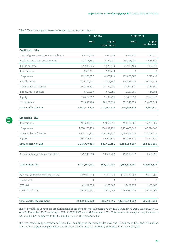*Table 6: Total risk-weighted assets and capital requirements per category*

|                                      | 31/12/2020     |                        | 31/12/2021     |                        |
|--------------------------------------|----------------|------------------------|----------------|------------------------|
|                                      | <b>RWA</b>     | Capital<br>requirement | <b>RWA</b>     | Capital<br>requirement |
| Credit risk - STA                    |                |                        |                |                        |
| Central governments or central banks | 99,144,433     | 7,931,555              | 22,447,337     | 1,795,787              |
| Regional and local governments       | 93,138,384     | 7,451,071              | 58,048,225     | 4,643,858              |
| Public entities                      | 15,982,875     | 1,278,630              | 23,215,469     | 1,857,238              |
| Institutions                         | 2,578,114      | 206,249                | $\circ$        | $\circ$                |
| Corporates                           | 112,233,857    | 8,978,709              | 113,405,686    | 9,072,455              |
| Retail clients                       | 222,727,427    | 17,818,194             | 254,546,674    | 20,363,734             |
| Covered by real estate               | 443,146,624    | 35,451,730             | 85,241,878     | 6,819,350              |
| Exposures in default                 | 8,651,079      | 692,086                | 6,057,355      | 484,588                |
| Equity                               | 30,065,697     | 2,405,256              | 31,875,530     | 2,550,042              |
| Other items                          | 352,850,483    | 28,228,039             | 322,549,054    | 25,803,924             |
| Total credit risk STA                | 1,380,518,973  | 110,441,518            | 917,387,208    | 73,390,977             |
| Credit risk - IRB                    |                |                        |                |                        |
| Institutions                         | 713,296,931    | 57,063,754             | 459,189,501    | 36,735,160             |
| Corporates                           | 1,550,391,150  | 124,031,292            | 1,759,059,360  | 140,724,749            |
| Covered by real estate               | 3,851,202,931  | 308,096,234            | 5,283,856,574  | 422,708,526            |
| Equity                               | 652,848,373    | 52,227,870             | 652,848,373    | 52,227,870             |
| Total credit risk IRB                | 6,767,739,385  | 541,419,151            | 8,154,953,807  | 652,396,305            |
| Securitisation positions SEC-ERBA    | 129,390,833    | 10,351,267             | 119,994,972    | 9,599,598              |
| Total credit risk                    | 8,277,649,191  | 662,211,935            | 9,192,335,987  | 735,386,879            |
| Add-on for Belgian mortgage loans    | 959,219,733    | 76,737,579             | 1,204,472,262  | 96,357,781             |
| Market risk                          | $\circ$        | 0                      | 0              | 0                      |
| CVA risk                             | 49,602,336     | 3,968,187              | 17,408,275     | 1,392,662              |
| Operational risk                     | 1,095,925,564  | 87,674,045             | 1,164,297,078  | 93,143,766             |
| Total capital requirement            | 10,382,396,823 | 830,591,746            | 11,578,513,602 | 926,281,088            |

The risk-weighted volume for credit risk (excluding the add-ons) calculated by the IRB/STA method was EUR 8,277,649,191 as of 31 December 2020, evolving to EUR 9,192,335,987 as of 31 December 2021. This resulted in a capital requirement of EUR 735,386,879 compared to EUR 662,211,935 as of 31 December 2020.

The total capital requirement for all risks (i.e. including the requirement for CVA, the 5% add-on on EAD and 33% add-on on RWA for Belgian mortgage loans and the operational risks requirement) amounted to EUR 926,281,088.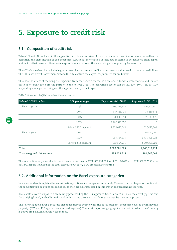# <span id="page-19-0"></span>**5. Exposure to credit risk**

# **5.1. Composition of credit risk**

Tables LI1 and LI2, included in the appendix, provide an overview of the differences in consolidation scope, as well as the definition and classification of the exposures. Additional information is included on items to be deducted from capital and factors that cause a difference in exposure value between the accounting and regulatory frameworks.

The off-balance sheet items include guarantees given – sureties, credit commitments and unused portions of credit lines. The CRR uses Credit Conversion Factors (CCF) to capture the capital requirement for credit risk.

This has the effect of reducing the exposure from that shown on the balance sheet. Credit commitments and unused portions of credit lines are the parts of loans not yet used. The conversion factor can be 0%, 20%, 50%, 75% or 100% (depending among other things on the approach and product type).

*Table 7: Overview of off-balance sheet items at year-end*

| <b>Related COREP tables</b> | <b>CCF</b> percentages | Exposure 31/12/2020 | Exposure 31/12/2021 |
|-----------------------------|------------------------|---------------------|---------------------|
| Table C07 (STD)             | $0\%$                  | 635,294,900         | 587,927,950         |
|                             | 20%                    | 607,516,776         | 13,240,676          |
|                             | 50%                    | 20,003,933          | 26,514,676          |
|                             | 100%                   | 1,462,611,952       | $\circ$             |
|                             | Subtotal STD approach  | 2,725,427,560       | 627,683,301         |
| Table C08 (IRB)             | 20%                    | 0                   | 70,000,000          |
|                             | 100%                   | 963,554,115         | 3,470,329,123       |
|                             | Subtotal IRB approach  | 963,554,115         | 3,540,329,123       |
| Total                       |                        | 3,688,981,675       | 4,168,012,424       |
| Total weighted risk volume  |                        | 385,008,315         | 781,366,643         |

The 'unconditionally cancellable credit card commitments' (EUR 635,294,900 as of 31/12/2020 and EUR 587,927,950 as of 31/12/2021) are included in the total exposure but carry a 0% credit risk weighting.

# **5.2. Additional information on the Basel exposure categories**

In some standard templates the securitisation positions are recognised separately. However, in the chapter on credit risk, the securitisation positions are included, as they are also processed in this way in the prudential reporting.

Real estate-covered exposures are mainly processed by the IRB approach (with, since 2021, also the credit pipeline and the bridging loans), with a limited position (including the CBHK portfolio) processed by the STA approach.

The following table gives a separate global geographic overview for the Basel category 'exposures covered by immovable property' (STA and IRB approaches summed together). The most important geographical markets in which the Company is active are Belgium and the Netherlands.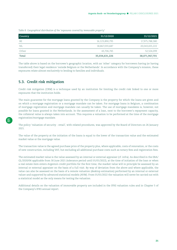<span id="page-20-0"></span>*Table 8: Geographical distribution of the 'exposures covered by immovable property'* 

| Country | 31/12/2020     | 31/12/2021     |
|---------|----------------|----------------|
| BE      | 16,123,890,795 | 17,975,788,380 |
| NL      | 18,867,033,687 | 20,043,655,222 |
| Other   | 43.706.745     | 52,524,099     |
| Total   | 35,034,631,226 | 38,071,967,701 |

The table above is based on the borrower's geographic location, with an 'other' category for borrowers having (or having transferred) their legal residence 'outside Belgium or the Netherlands'. In accordance with the Company's mission, these exposures relate almost exclusively to lending to families and individuals.

# **5.3. Credit risk mitigation**

Credit risk mitigation (CRM) is a technique used by an institution for limiting the credit risk linked to one or more exposures that the institution holds.

The main guarantee for the mortgage loans granted by the Company is the property for which the loans are given and on which a mortgage registration or a mortgage mandate can be taken. For mortgage loans in Belgium, a combination of mortgage registration and mortgage mandate can usually be taken. The use of mortgage mandates is, however, not possible for loans granted in the Netherlands. In the assessment of a loan, next to the borrower's repayment capacity, the collateral value is always taken into account. This requires a valuation to be performed at the time of the mortgage registration/mortgage mandate.

The policy 'valuation of security - retail', with related procedures, was approved by the Board of Directors on 26 January 2021.

The value of the property at the initiation of the loans is equal to the lower of the transaction value and the estimated market value or the mortgage value.

The transaction value is the agreed purchase price of the property plus, where applicable, costs of renovation, or the costs of new construction, including VAT, but excluding all additional purchase costs such as notary fees and registration fees.

The estimated market value is the value assessed by an internal or external appraiser (cf. infra). As described in the EBA/ GL/2020/06 applicable from 30 June 2021 (tolerance period until 01/01/2022), at the time of initiation of the loan or when a real estate item enters Argenta's credit portfolio for the first time, the market value will in principle be assessed by an internal or external appraiser on the basis of a full visit. By way of deviation from the above and where applicable, the value can also be assessed on the basis of a remote valuation (desktop estimation) performed by an internal or external valuer and supported by advanced statistical models (AVM). From 01/01/2022 the valuation will never be carried out with a statistical model as the only means for testing the valuation.

Additional details on the valuation of immovable property are included in the IFRS valuation rules and in Chapter 5 of the Company's IFRS annual report.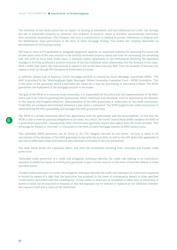The evolution of real estate prices has an impact on lending to individuals and also influences the credit risk through the use of immovable property as collateral. The evolution of property values is therefore systematically monitored, with periodical revaluations. The Company has here a concentration in lending to private individuals in Belgium and the Netherlands, more particularly in the form of retail mortgage lending. This makes the company dependent on developments in the housing market.

The loan to value (LTV) parameter is, alongside repayment capacity, an important indicator for assessing the initial risk of new loans (ratio of the loan amount to the initially estimated property value) and later for estimating the remaining risk. The shift in focus from bullet loans to monthly capital repayments in the Netherlands following the legislative changes in 2013 has produced a positive evolution of the loan/collateral value relationship over the duration of the loans. With a bullet loan (part), the total amount is repaid in full on the final maturity date. Over the duration of the loan this capital is built up through life insurance or investment accounts.

In addition, almost half of Argenta's Dutch mortgage portfolio is covered by Dutch Mortgage Guarantees (NHG). The NHG is provided by the 'Waarborgfonds Eigen Woningen' (Home Ownership Guarantee Fund – WEW) foundation. This is the name of the guarantee which a borrower can obtain for a loan for purchasing or renovating a home. The WEW guarantees the repayment of the mortgage amount to the lender.

The goal of the WEW is to promote home ownership. It is responsible for the policy and the implementation of the NHG. Every year it set rules for granting NHG guarantees. These 'conditions and standards' must be approved by the Minister of The Interior and Kingdom Relations. Administration of the NHG guarantees is undertaken by the credit institutions. Credit files are analysed and reviewed whenever a loss claim is submitted. The WEW supports the credit institutions in administering the NHG guarantees and manages the NHG guarantee fund.

The WEW is a private institution which has agreements with the government and the municipalities. In this way the WEW is able to meet its payment obligations at all times. As a result, the Dutch Central Bank (DNB) considers the NHG as a government guarantee. Consequently, NHG-covered loans generally require less capital from the funds provider. This advantage for lenders is 'returned' to consumers in the form of lower mortgage interest on NHG-backed loans.

This unfunded (NHG) guarantee can be found in the STA category 'secured by real estate'. Account is taken in all calculations of the decrease of this NHG guarantee in line with the annuities, as well as the 10% deductible applicable to any loss on NHG loans from 2014 onwards (this decrease is included in the LGD parameter).

The table below shows the exposures before and after the movements resulting from unfunded and funded credit protections.

'Unfunded credit protection' is a credit risk mitigation technique whereby the credit risk relating to an institution's exposure is limited by means of a third-party guarantee to pay a certain amount in the event of borrower default or other specified events.

'Funded credit protection' is a credit risk mitigation technique whereby the credit risk relating to an institution's exposure is limited by means of a right that the institution has acquired. In the event of counterparty default or other specified 'credit events' associated with the counterparty, certain assets or items can be liquidated or taken over, or ownership of assets or items can be acquired or retained, or else the exposure can be reduced or replaced by the difference between the exposure itself and a claim on the institution.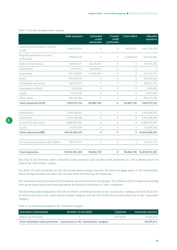| Table 9: Overview of exposures per category |  |  |  |  |  |
|---------------------------------------------|--|--|--|--|--|
|---------------------------------------------|--|--|--|--|--|

|                                            | Risk exposure  | Unfunded<br>credit<br>protection | Funded<br>credit<br>protection | <b>Total inflow</b> | Adjusted<br>exposure      |
|--------------------------------------------|----------------|----------------------------------|--------------------------------|---------------------|---------------------------|
| Central governments or central<br>banks    | 4,580,811,903  | $\Omega$                         | $\Omega$                       | 34,974,471          | 4,615,786,374             |
| Regional goverment or local<br>authorities | 478,292,370    | $\Omega$                         | $\Omega$                       | 55,908,319          | 534,200,689               |
| Public sector entities                     | 149,951,275    | $-30,225,927$                    | $\Omega$                       | $\Omega$            | 119,725,347               |
| Institutions                               | 34,974,471     | $-34,974,471$                    | $\overline{0}$                 | $\circ$             | $\Omega$                  |
| Corporates                                 | 191,258,967    | $-25,682,392$                    | $\Omega$                       | $\Omega$            | 165,576,575               |
| Retail                                     | 930,546,920    | 0                                | $\overline{O}$                 | $\Omega$            | 930,546,920               |
| Covered by real estate                     | 183,202,707    | $\overline{0}$                   | 0                              | $\circ$             | 183,202,707               |
| Exposures in default                       | 5,909,428      | 0                                | $\overline{O}$                 | $\Omega$            | 5,909,428                 |
| Equity                                     | 31,875,530     | $\overline{0}$                   | $\Omega$                       | $\circ$             | 31,875,530                |
| Other items                                | 906,733,583    | $\overline{O}$                   | $\overline{O}$                 | $\Omega$            | 906,733,583               |
| Total exposures (STA)                      | 7,493,557,152  | $-90,882,790$                    | 0                              | 90,882,790          | 7,493,557,152             |
| Institutions                               | 2,005,589,107  | 0                                | $\overline{O}$                 | $\Omega$            | 2,005,589,107             |
| Corporates                                 | 4,543,786,868  | 0                                | $\mathcal{O}$                  | $\circ$             | 4,543,786,868             |
| Covered by real estate                     | 37,888,764,994 | 0                                | $\Omega$                       | $\Omega$            | 37,888,764,994            |
| Equity                                     | 176,445,506    | $\overline{0}$                   | $\Omega$                       | $\Omega$            | 176,445,506               |
| Total exposures (IRB)                      | 44,614,586,474 | 0                                | 0                              | 0                   | 44,614,586,474            |
| Securitisation positions (SEC-ERBA)        | 742,212,757    | $\circ$                          | $\overline{0}$                 | $\circ$             | 742,212,757               |
| <b>Total exposures</b>                     | 52,850,356,383 | -90,882,790                      | 0                              |                     | 90,882,790 52,850,356,383 |

The total of the amounts under 'unfunded credit protection' and 'funded credit protection' (i.e. the outflow) match the total of the 'total inflow' column.

One form of credit protection is also the accumulated savings amounts for some mortgage types in the Netherlands. These savings amounts are taken into account when determining the exposures.

The unfunded credit protection at the Company can be divided into two groups. This reflects a shift in exposure resulting from government guarantees and guarantees by financial institutions or other companies.

The following tables break down the EUR 34,974,471 of credit protection in the 'institutions' category, the EUR 30,225,927 of credit protection in the 'public sector entities' category, and the EUR 25,682,392 of credit protection in the 'corporates' category.

*Table 10: Government guarantees in the 'institutions' category*

| Guarantee counterparty                                                       | Number of securities | Exposure   | Guarantee amount |
|------------------------------------------------------------------------------|----------------------|------------|------------------|
| Belgian government                                                           |                      | 34.978.609 | 34.974.471       |
| Total unfunded credit protection - Guarantees in the 'institutions' category | 34,974,471           |            |                  |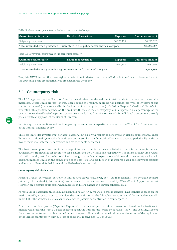<span id="page-23-0"></span>*Table 11: Government guarantees in the 'public sector entities' category*

| Guarantee counterparty                                                                 | Number of securities | Exposure   | Guarantee amount |
|----------------------------------------------------------------------------------------|----------------------|------------|------------------|
| Belgian government                                                                     |                      | 30.228.126 | 30.225.927       |
| Total unfunded credit protection - Guarantees in the 'public sector entities' category | 30.225.927           |            |                  |

*Table 12: Government guarantees in the 'corporates' category*

| Guarantee counterparty                                                     | Number of securities | Exposure   | Guarantee amount |
|----------------------------------------------------------------------------|----------------------|------------|------------------|
| Belgian government                                                         |                      | 25.691.144 | 25.682.392       |
| Total unfunded credit protection - guarantees in the 'corporates' category |                      | 25.682.392 |                  |

Template **CR7** 'Effect on the risk-weighted assets of credit derivatives used as CRM techniques' has not been included in the appendix, as no credit derivatives are used in the Company.

# **5.4. Counterparty risk**

The RAF, approved by the Board of Directors, establishes the desired credit risk profile in the form of measurable indicators. Credit limits are part of this. These define the maximum credit risk position per type of investment and counterparty level (these are detailed in the internal financial policy line (included in Chapter 6 'Credit risk limits')) for non-retail. This position depends on the creditworthiness of the counterparty and is expressed as a percentage of the CET1 at consolidated level of Aspa. As a general rule, deviations from this framework for individual transactions are only possible with an approval of the Board of Directors.

In this way, the assumptions and limits regarding non-retail counterparties are set out in the 'Credit Risk Limits' section of the internal financial policy.

This sets limits (for investments) per asset category, but also with respect to concentration risk by counterparty. These limits are monitored systematically and reported internally. The financial policy is also updated periodically, with the involvement of all internal departments and managements concerned.

The basic assumptions and limits with regard to retail counterparties are listed in the internal acceptance and authorisation frameworks for credit risk for Belgium and the Netherlands respectively. The internal policy line 'Credit risk policy retail', just like the National Bank through its prudential expectations with regard to new mortgage loans in Belgium, imposes limits on the composition of the portfolio and production of mortgages based on repayment capacity and lending collateral for Belgium and the Netherlands respectively.

#### **Counterparty risk derivatives**

Argenta Group's derivatives portfolio is limited and serves exclusively for ALM management. The portfolio consists primarily of standard ('plain vanilla') instruments. All derivatives are covered by CSAs (Credit Support Annexes). However, an exposure could arise when market conditions change in between collateral calls.

Argenta Group capitalises this residual risk in pillar 2 ICAAP by means of a stress scenario. This scenario is based on the method used by Argenta Group to calculate the CVA and DVA for the fair value measurement of the derivative portfolio under IFRS. The scenario also takes into account the possible concentration in counterparties.

First, the possible exposure ('Expected Exposure') is calculated per individual transaction, based on fluctuations in market value resulting from a 1 basis point change in the interest rate ('basis point value' - 'BPV'), and volatility. Second, the exposure per transaction is summed per counterparty. Finally, this scenario simulates the impact of the liquidation of the largest counterparty, with full loss of additional receivables (LGD of 100%).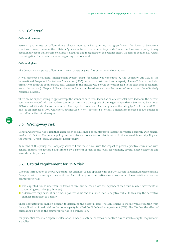# <span id="page-24-0"></span>**5.5. Collateral**

### **Collateral received**

Personal guarantees or collateral are always required when granting mortgage loans. The lower a borrower's creditworthiness, the more the collateral/guarantee he will be required to provide. Under the foreclosure policy, it may occasionally occur that certain collateral is acquired and recognised on the balance sheet. We refer to section 5.3. 'Credit risk mitigation' for more information regarding this collateral.

### **Collateral given**

The Company also grants collateral on its own assets as part of its activities and operations.

A well-developed collateral management system exists for derivatives concluded by the Company. An CSA of the International Swaps and Derivatives Association (ISDA) is concluded with each counterparty. These CSAs are concluded primarily to limit the counterparty risk. Changes in the market value of the derivatives lead to the exchange of collateral (securities or cash). Chapter 9 'Encumbered and unencumbered assets' provides more information on the effectively granted collateral.

There are no explicit rating triggers (except the standard ones included in the basic contracts) provided for in the current contracts concluded with derivatives counterparties. For a downgrade of the Argenta Spaarbank S&P rating by 1 notch (BBB+) no additional collateral is required. The impact on collateral of a downgrade of the rating by 2 or 3 notches (BBB or BBB-) is an increase of 10%, while for a downgrade of 4 or 5 notches (BB+ or BB), a mandatory increase of 20% applies to the buffer on the initial margin.

# **5.6. Wrong-way risk**

General wrong-way risk is risk that arises when the likelihood of counterparties default correlates positively with general market risk factors. The general policy on credit risk and concentration risk is set out in the internal financial policy and the internal "Credit Risk Management Retail" policy.

By means of this policy, the Company seeks to limit these risks, with the impact of possible positive correlation with general market risk factors being limited by a general spread of risk over, for example, several asset categories and several counterparties.

# **5.7. Capital requirement for CVA risk**

Since the introduction of the CRR, a capital requirement is also applicable for the CVA (Credit Valuation Adjustment) risk. Compared with, for example, the credit risk of an ordinary bond, derivatives have two specific characteristics in terms of counterparty risk:

- **The expected risk is uncertain in terms of size; future cash flows are dependent on future market movements of** underlying securities (e.g. interest);
- $\blacksquare$  A derivative may have, at one time, a positive value and at a later time, a negative value. In this way the derivative changes from asset to liability.

These characteristics make it difficult to determine the potential risk. The adjustment to the fair value resulting from the application of credit risk to the counterparty is called Credit Valuation Adjustment (CVA). The CVA has the effect of calculating a price on the counterparty risk in a transaction.

For prudential reasons, a separate calculation is made to obtain the exposure for CVA risk to which a capital requirement is applied.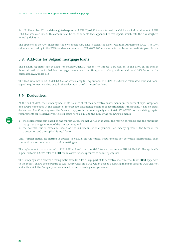<span id="page-25-0"></span>As of 31 December 2021, a risk-weighted exposure of EUR 17,408,275 was obtained, on which a capital requirement of EUR 1,392,662 was calculated. This amount can be found in table **OV1** appended to this report, which lists the risk-weighted items by risk type.

The opposite of the CVA measures the own credit risk. This is called the Debit Valuation Adjustment (DVA). The DVA calculated according to the IFRS standards amounted to EUR 6,888,789 and was deducted from the qualifying own funds.

# **5.8. Add-ons for Belgian mortgage loans**

The Belgian regulator has decided, for macroprudential reasons, to impose a 5% add-on to the RWA on all Belgian financial institutions for Belgian mortgage loans under the IRB approach, along with an additional 33% factor on the calculated RWA under IRB.

The RWA amounts to EUR 1,204,472,262, on which a capital requirement of EUR 96,357,781 was calculated. This additional capital requirement was included in the calculation as of 31 December 2021.

# **5.9. Derivatives**

At the end of 2021, the Company had on its balance sheet only derivative instruments (in the form of caps, swaptions and swaps) concluded in the context of interest rate risk management or of securitisation transactions. It has no credit derivatives. The Company uses the 'standard approach for counterparty credit risk' ("SA-CCR") for calculating capital requirements for its derivatives. The exposure here is equal to the sum of the following elements:

- a) the replacement cost based on the market value, the net variation margin, the margin threshold and the minimum margin exchange amount of the transactions; and
- b) the potential future exposure, based on the (adjusted) notional principal (or underlying value), the term of the transaction and the applicable legal factor.

Until further notice, no netting is applied in calculating the capital requirements for derivative instruments. Each transaction is recorded as an individual netting set.

The replacement cost amounted to EUR 2,683,418 and the potential future exposure was EUR 98,626,956. The applicable 'alpha' factor is 1.4. We refer to **CCR1** for an overview of exposures to counterparty risk.

The Company uses a central clearing institution (CCP) for a large part of its derivative instruments. Table **CCR8**, appended to the report, shows the exposure to ABN Amro Clearing Bank (which acts as a clearing member towards LCH Clearnet and with which the Company has concluded indirect clearing arrangements).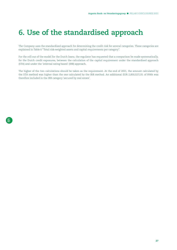# <span id="page-26-0"></span>**6. Use of the standardised approach**

The Company uses the standardised approach for determining the credit risk for several categories. These categories are explained in Table 6 "Total risk-weighted assets and capital requirements per category".

For the roll-out of the model for the Dutch loans, the regulator has requested that a comparison be made systematically, for the Dutch credit exposures, between the calculation of the capital requirement under the standardised approach (STA) and under the 'internal rating based' (IRB) approach.

The higher of the two calculations should be taken as the requirement. At the end of 2021, the amount calculated by the STA method was higher than the one calculated by the IRB method. An additional EUR 2,830,527,131 of RWA was therefore included in the IRB category 'secured by real estate'.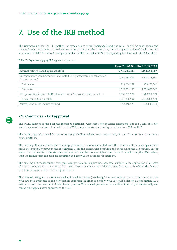# <span id="page-27-0"></span>**7. Use of the IRB method**

The Company applies the IRB method for exposures to retail (mortgages) and non-retail (including institutions and covered bonds, corporates and real estate counterparties). At the same time, the participation value of the insurer (for an amount of EUR 176 million) is weighted under the IRB method at 370%, corresponding to a RWA of EUR 652.8 million.

*Table 13: Exposures applying IRB approach at year-end*

|                                                                                             |               | RWA 31/12/2021 RWA 31/12/2020 |
|---------------------------------------------------------------------------------------------|---------------|-------------------------------|
| Internal ratings-based approach (IRB)                                                       | 6,767,739,385 | 8,154,953,807                 |
| IRB approach where neither self-estimated LGD parameters nor conversion<br>factors are used | 2,263,688,081 | 2,218,248,860                 |
| Institutions                                                                                | 713,296,931   | 459,189,501                   |
| Corporates                                                                                  | 1,550,391,150 | 1,759,059,360                 |
| IRB approach using own LGD calculations and/or own conversion factors                       | 3,851,202,931 | 5,283,856,574                 |
| Retail - covered by real estate                                                             | 3,851,202,931 | 5,283,856,574                 |
| Participation value insurer (equity)                                                        | 652,848,373   | 652.848.373                   |

# **7.1. Credit risk - IRB approval**

The (A)IRB method is used for the mortgage portfolios, with some non-material exceptions. For the CBHK portfolio, specific approval has been obtained from the ECB to apply the standardised approach as from 30 June 2018.

The (F)IRB approach is used for the corporates (including real estate counterparties), (financial) institutions and covered bonds portfolios.

The existing IRB model for the Dutch mortgage loans portfolio was accepted, with the requirement that a comparison be made systematically between the calculations using the standardised method and those using the IRB method. In the event that the results of the standardised method calculations are higher than those obtained using the IRB method, then the former form the basis for reporting and apply as the ultimate requirement.

The existing IRB model for the mortgage loan portfolio in Belgium was accepted, subject to the application of a factor of 1.15 to the internal LGD values as from 2020. Given the application of the 10% LGD floor at portfolio level, this had no effect on the volume of the risk-weighted assets.

The internal rating models for non-retail and retail (mortgages) are being/have been redeveloped to bring them into line with two-step approach to the new default definition, in order to comply with EBA guidelines on PD estimation, LGD estimation and the treatment of defaulted exposures. The redeveloped models are audited internally and externally and can only be applied after approval by the ECB.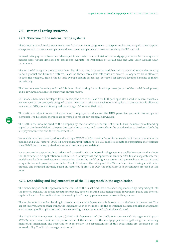# <span id="page-28-0"></span>**7.2. Internal rating systems**

### **7.2.1. Structure of the internal rating systems**

The Company calculates its exposures to retail customers (mortgage loans), to corporates, institutions (with the exception of exposures to insurance companies and investment companies) and covered bonds by the IRB method.

Internal rating systems have been developed to estimate the credit risk of the mortgage portfolios. In these systems models were further developed to assess and evaluate the Probability of Default (PD) and Loss Given Default (LGD) parameters.

The PD model assigns a score to each loan file. This scoring is based on variables with associated modalities relating to both product and borrower features. Based on these scores, risk categories are created. A long-term PD is allocated to each risk category. This is the historic average default percentage, corrected for forward-looking elements or model uncertainty.

The link between the rating and the PD is determined during the calibration process (as part of the model development) and is reviewed and adjusted during the annual review.

LGD models have been developed for estimating the size of the loss. This LGD pooling is also based on several variables. An average LGD percentage is assigned to each LGD pool. In this way, each outstanding loan in the portfolio is allocated to a specific LGD pool and is assigned the average LGD rate for that pool.

This estimate takes into account aspects such as property values and the NHG guarantee (as credit risk mitigation elements). The historical averages are corrected to reflect any economic downturn.

The EAD is the amount owed to the Company by the customer at the time of default. This includes the outstanding capital at the time of default, the past due capital repayments and interest (from the past due date to the date of default), late payment interest and the reinvestment fee.

No models have been developed for calculating a CCF (Credit Conversion Factor) for unused credit lines and offers in the pipeline and a CCF factor of 100% is being applied until further notice. CCF models estimate the proportion of off-balance sheet liabilities to be recognised as soon as a customer goes in default.

For exposures to corporates, institutions and covered bonds, an internal rating system is applied to assess and evaluate the PD parameter. An application was submitted in January 2020, and approved in January 2021, to use a separate internal model specifically for real estate counterparties. The rating model assigns a score or rating to each counterparty based on qualitative and quantitative variables. The link between the rating and the PD is redetermined during a calibration process, and reviewed annually based on historical figures. For LGD, the regulatory loss percentages are used as IRB input.

### **7.2.2. Embedding and implementation of the IRB approach in the organisation**

The embedding of the IRB approach in the context of the Basel credit risk has been implemented by integrating it into the internal policies, the credit acceptance process, decision-making, risk management, investment policy and internal capital allocation. The credit risk models used by the Company play an essential role in this process.

The implementation and embedding in the operational credit departments is followed up on the basis of the use test. This aspect involves, among other things, the implementation of the models in the operational business and risk management environment (credit application and the Basel scoring, measurement and calculation software).

The Credit Risk Management Support (CRMS) sub-department of the Credit & Insurance Risk Management Support (CIRMS) department monitors the performance of the models for the mortgage portfolios, gathering the necessary monitoring information and reporting on it internally. The responsibilities of this department are described in the internal policy 'Credit risk management - retail'.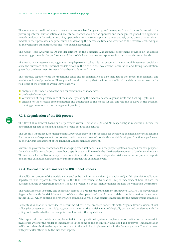The operational credit sub-departments are responsible for granting and managing loans in accordance with the prevailing internal authorisation and acceptance frameworks and the approval and management procedures applicable to each product and/or jurisdiction. They operate in a fully Basel-compliant manner, actively using the PD, LGD and EAD models in their processes and procedures and devoting the necessary time and attention to the effective embedding of all relevant Basel standards and rules (risk-based acceptance).

The Credit Risk Analysis (CRA) sub-department of the Financial Management department provides an analogous monitoring process for the performance of the models for exposures to corporates, institutions and covered bonds.

The Treasury & Investment Management (TIM) department takes this into account in its non-retail investment decisions, since the outcomes of the internal models also play their role in the Investment Consultation and Rating Consultation, given that the investment framework has been built around them.

This process, together with the underlying tasks and responsibilities, is also included in the 'model management' and 'model monitoring' procedures. These procedures aim to verify that the internal credit risk models indicate correctly the risk levels of the credits to which they relate, via:

- $\blacksquare$  analysis of the model and of the environment in which it operates;
- the level of coverage;
- verification of the performance of the model by testing the model outcomes against limits and flashing lights; and
- **a** analysis of the effective implementation and application of the model (usage) and the role it plays in the decisionmaking process and in risk management (use test).

### **7.2.3. Organisation of the IRB process**

The Credit Risk Control Loans sub-department within Operations (BE and NL respecively) is responsible, beside the operational aspects of managing defaulted loans, for first line control.

The Credit & Insurance Risk Management Support department is responsible for developing the models for retail lending. For the models of exposures to corporates, institutions and covered bonds, this model-developing function is performed by the CRA sub-department of the Financial Management department.

Within the governance framework for managing credit risk models and the project systems designed for this purpose, the Risk & Validation sub-department has a specific second line role in the (further) development of the internal models. This consists, for the Risk sub-department, of critical evaluation of and independent risk checks on the prepared reports and, for the Validation department, of running through the validation cycle.

### **7.2.4. Control mechanisms for the IRB model process**

The validation process of the models is undertaken by the internal validator (validation cell) within the Risk & Validation department who reports hierarchically to the CRO. The validator (validation unit) is independent here of both the business and the developers/modellers. The Risk & Validation department organises (ad hoc) the Validation Committee.

The validator's task is clearly and concretely defined in a Model Risk Management Framework (MRMF). The way in which Argenta deals with the risk inherent in models and the operational use of these models in decision-making is anchored in this MRMF, which controls the governance of models as well as the concrete measures for the management of models.

Conceptual validation is intended to determine whether the proposed model fits with Argenta Group's vision of risk policy (risk assessment, risk mitigants, controls), whether the model is methodologically correct and consistent with the policy, and finally, whether the design is compliant with the regulations.

After approval, the models are implemented in the operational systems. Implementation validation is intended to investigate whether the model as implemented is the same as the one initially developed and approved. Implementation validation relates both to the organisational and to the technical implementation in the Company's own IT environment, with particular attention to the 'use test' aspects.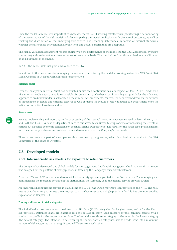<span id="page-30-0"></span>Once the model is in use, it is important to know whether it is still working satisfactorily (backtesting). The monitoring of the performance of the risk model includes comparing the model predictions with the actual outcomes, as well as tracking the distribution of the underlying risk drivers. The Company determines, by means of internal standards, whether the differences between model predictions and actual performance are acceptable.

The Risk & Validation department reports quarterly on the performance of the models to the GRC-Moco (model overview committee) and carries out an extensive review on an annual basis. The conclusions from this can lead to a recalibration or an adjustment of the model.

In 2021, the 'model risk' risk profile was added to the RAF.

In addition to the procedures for managing the model and monitoring the model, a working instruction 'IRB Credit Risk Model Changes' is in place, with appropriate governance.

#### **Internal audit**

Over the past years, Internal Audit has conducted audits on a continuous basis in respect of Basel Pillar 1 credit risk. The Internal Audit department is responsible for determining whether a bank wishing to qualify for the advanced approach to credit risk under Basel meets all the minimum requirements. For this, the department draws on the services of independent in-house and external experts as well as using the results of the Validation sub-department, once the validation activities have been audited.

#### **Stress tests**

Besides implementing and reporting on the back testing of the internal measurement systems used to determine PD, LGD and EAD, the Risk & Validation department carries out stress tests. Stress testing consists of measuring the effects of serious but plausible economic conditions on the institution's own portfolio. The results of the stress tests provide insight into the effect of possible unfavourable economic developments on the Company's risk profile.

These stress tests are part of a company-wide stress testing programme, which is submitted annually to the Risk Committee of the Board of Directors.

# **7.3. Developed models**

### **7.3.1. Internal credit risk models for exposure to retail customers**

The Company has developed two global models for mortgage loans (residential mortgages). The first PD and LGD model was designed for the portfolio of mortgage loans initiated by the Company's own branch network.

A second PD and LGD model was developed for the mortgage loans granted in the Netherlands. For managing and administering the mortgage portfolio in the Netherlands, the Company uses an external service provider (Quion).

An important distinguishing feature in calculating the LGD of the Dutch mortgage loan portfolio is the NHG. The NHG means that the WEW guarantees the mortgage loan. The borrower pays a single premium for this (see the more detailed explanation in Chapter 5.3).

#### **Pooling - allocation to risk categories**

The individual exposures are each assigned to a PD class (11 PD categories for Belgian loans, and 9 for the Dutch sub-portfolio). Defaulted loans are classified into the default category. Each category or pool contains credits with a similar risk profile for the respective portfolio. The best risks are those in category 1, the worst in the lowest category (the default category). The intention, in determining the number of risk categories, was to divide loans into a maximum number of risk categories that are significantly different from each other.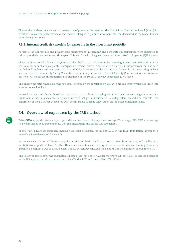<span id="page-31-0"></span>The results of these models and all relevant analyses are discussed on the Credit Risk Committee Retail (Kreco) for retail portfolios. The performance of the models, along with planned developments, are discussed at the Model Review Committee (GRC-Moco).

### **7.3.2. Internal credit risk models for exposure in the investment portfolio**

As part of an appropriate and prudent risk management, all banking and corporate counterparties were subjected to primary analysis over a one-year time span. This also fits with the governance narrative linked to Argenta's (F)IRB status.

These analyses are all subject to a systematic risk check as part of an annually recurring process. Before inclusion in the portfolio, every bank and corporate is assigned an internal rating, in accordance with the (F)IRB framework that has been ratified and implemented at Argenta Group, and which is reviewed at least annually. The results of these rating reviews are discussed in the monthly Rating Consultation, and finally in the Alco (Asset & Liability Committee) for the non-retail portfolio. All model-technical matters are discussed in the Model Overview Committee (GRC-Moco).

The underlying rating models for the non-retail portfolio were developed by S&P with around twenty variables taken into account for each obligor.

Internal ratings are always based on two pillars. In addition to using statistics-based expert judgement models, fundamental risk analyses are performed for each obligor and subjected to independent second line controls. The calibration of the PD values associated with the internal ratings is undertaken on the basis of historical data.

# **7.4. Overview of exposures by the IRB method**

Table **CCR4**, appended to this report, provides an overview of the exposure, average PD, average LGD, RWA and average risk weighting as at 31 December 2021 (of the institutions and corporates categories).

In the IRBA (advanced) approach, models have been developed for PD and LGD. In the IRBF (foundation) approach, a model has been developed for PD only.

In the RWA calculation of the mortgage loans, the required LGD floor of 10% is taken into account, and applied as a multiplicator at portfolio level. For the off-balance sheet items (consisting of unused credit lines and binding offers - the 'pipeline') a standard CCF of 100% is used. The PD percentages include the defaults (for the definition see Chapter 8.1).

The following table shows the calculated expected loss (hereinafter EL) per mortgage sub-portfolio - processed according to the IRB approach – taking into account the effective LGD and the applied 10% LGD floor.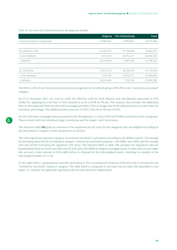*Table 14: Overview of EL and provisions per mortgage sub-portfolio*

|                             | Belgium    | The Netherlands | Total      |
|-----------------------------|------------|-----------------|------------|
| Total provisions recognised | 17,984,647 | 8,994,841       | 26,979,488 |
|                             |            |                 |            |
| EL effective LGD            | 22,046,272 | 15,796,469      | 37,842,741 |
| > non-defaults              | 5,672,232  | 10,972,277      | 16,644,509 |
| > defaults                  | 16,374,040 | 4,824,192       | 21,198,232 |
|                             |            |                 |            |
| EL LGD floor                | 23,671,222 | 18,103,023      | 41,774,246 |
| > non-defaults              | 7,297,183  | 10,972,277      | 18,269,460 |
| > defaults                  | 16,374,040 | 7,130,746       | 23,504,786 |

The EUR 21,198,232 are the individual provisions recognised on the default group (100% PD) in the "covered by real estate" category.

As of 31 December 2021, the total EL (with the effective LGD) for both defaults and non-defaults amounted to EUR 37,842,741. Applying the LGD floor of 10% resulted in an EL of EUR 41,774,246. This amount also includes the additional floor on the expected losses for the Dutch mortgage portfolio if the coverage ratio of the defaulted loans is lower than the minimum percentage. This additional floor amounts to EUR 2,306,554 at the end of 2021.

For the individual mortgage loans processed by the IRB approach, a total of EUR 26,979,488 of provisions were recognised. These contain both the individual stage 3 provisions and the stages 1 and 2 provisions.

The attached table **CR6** gives an overview of the exposures per PD scale for the categories that are weighted according to the IRB method in respect of their situation at 31/12/2021.

The most significant exposure category "secured by real estate" is processed according to the IRB(A) method. The average PD (including defaults) for the exposure category 'covered by immovable property - non-SMEs' was 0.82% and the average LGD was 10.82% (including the regulatory 10% floor). The reported RWA in table CR6 excludes the regulatory add-ons (standardised floor for Dutch and add-ons (5% EAD plus 33% RWA) for Belgian mortgage loans). If these add-ons are taken into account, a total amount of EUR 6,488 million is obtained for the risk-weighted assets, resulting in a density of the risk-weighted assets of 17.11%.

In the table below, a geographical overview (according to the counterparty's location) of PD and LGD is included for the "covered by real estate" exposure category. The table below is composed in the same way as table CR6 appended to this report, i.e. without the applicable regulatory add-ons (see above for explanation).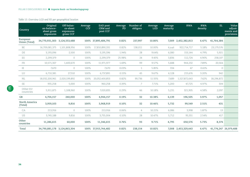### *Table 15: Overview LGD and PD per geographical location*

| Country                          | Original<br>on-balance-<br>sheet gross<br>exposures | Off-balan-<br>ce-sheet<br>exposures<br>gross CCF | Average<br><b>CCF</b> | <b>EAD</b> post<br>CRM and<br>post CCF | Average<br>PD | Number of<br>obligors | Average<br><b>LGD</b> | Average<br>maturity | <b>RWA</b>          | <b>RWA</b><br>density | EL.        | Value<br>adjust-<br>ments and<br>provisions |
|----------------------------------|-----------------------------------------------------|--------------------------------------------------|-----------------------|----------------------------------------|---------------|-----------------------|-----------------------|---------------------|---------------------|-----------------------|------------|---------------------------------------------|
| European<br><b>Union (Total)</b> | 34,770,931,303                                      | 3,124,553,488                                    | 100%                  | 37,895,484,791                         | 0.82%         | 237,997               | 10.80%                | 7.009               | 2,452,382,813       | 6.47%                 | 41,764,384 |                                             |
| BE                               | 16,709,081,375                                      | 1.101.808.956                                    | 100%                  | 17,810,890,331                         | 0.82%         | 138,011               | 10.00%                | 6,246               | 922,714,717         | 5.18%                 | 23,179,576 |                                             |
| $\mathbb{D}\mathbb{E}$           | 3,193,096                                           | 2,500                                            | 100%                  | 3,195,596                              | 1.94%         | 28                    | 9.64%                 | 6,080               | 153,144             | 4.79%                 | 5,921      |                                             |
| ES                               | 2,299,379                                           | $\circ$                                          | 100%                  | 2,299,379                              | 25.98%        | 24                    | 9.45%                 | 3,836               | 112,724             | 4.90%                 | 258,107    |                                             |
| FR                               | 10,571,307                                          | 1,400,670                                        | 100%                  | 11,971,977                             | 1.69%         | 99                    | 9.57%                 | 5,688               | 944,232             | 7.89%                 | 20,564     |                                             |
| IE                               | 7,670                                               | $\circ$                                          | 100%                  | 7,670                                  | 0.03%         | $\mathbf{1}$          | 5.85%                 | 334                 | 47                  | 0.61%                 | $\circ$    |                                             |
| LU                               | 6,710,381                                           | 27,510                                           | 100%                  | 6,737,891                              | 0.15%         | 45                    | 9.67%                 | 6,128               | 215,676             | 3.20%                 | 942        |                                             |
| <b>NL</b>                        | 18,032,200,961                                      | 2,020,199,892                                    | 100%                  | 20,052,400,853                         | 0.82%         | 99,736                | 11.55%                | 7,689               | 1,527,872,643       | 7.62%                 | 18,296,872 |                                             |
| SE                               | 955,258                                             | 5,000                                            | 100%                  | 960,258                                | 0.39%         | $\overline{7}$        | 7.71%                 | 5,200               | 47,725              | 4.97%                 | 304        |                                             |
| Other EU<br>countries            | 5.911.875                                           | 1,108,960                                        | 100%                  | 7,020,835                              | 0.29%         | 46                    | 10.18%                | 5,231               | 321,905             | 4.58%                 | 2,097      |                                             |
| GB                               | 4,704,157                                           | 240,000                                          | 100%                  | 4,944,157                              | 0.19%         | 32                    | 10.38%                | 6,139               | 196,505             | 3.97%                 | 1,057      |                                             |
| North America<br>(Total)         | 3,959,103                                           | 9,816                                            | 100%                  | 3,968,919                              | 0.10%         | 32                    | 10.46%                | 5,732               | 99,549              | 2.51%                 | 431        |                                             |
| CA                               | 213,916                                             | $\circ$                                          | 100%                  | 213,916                                | 0.06%         | $\overline{4}$        | 10.21%                | 6,086               | 3,998               | 1.87%                 | 13         |                                             |
| US                               | 3,745,188                                           | 9,816                                            | 100%                  | 3,755,004                              | 0.10%         | 28                    | 10.47%                | 5,712               | 95,551              | 2.54%                 | 417        |                                             |
| Other<br>countries               | 11,286,615                                          | 60,000                                           | 100%                  | 11,346,615                             | 0.76%         | 93                    | 9.71%                 | 4,795               | 650,576             | 5.73%                 | 8,374      |                                             |
| Total                            | 34,790,881,178 3,124,863,304                        |                                                  |                       | 100% 37,915,744,482                    | 0.82%         | 238,154               | 10.82%                |                     | 7,008 2,453,329,443 | 6.47%                 |            | 41,774,247 26,979,488                       |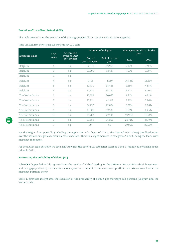### **Evolution of Loss Given Default (LGD)**

The table below shows the evolution of the mortgage portfolio across the various LGD categories.

### *Table 16: Evolution of mortgage sub-portfolio per LGD scale*

| <b>Exposure class</b> | <b>LGD</b>     | Arithmetic<br>average LGD |                         | Number of obligors     | Average annual LGD in the<br>past |        |  |
|-----------------------|----------------|---------------------------|-------------------------|------------------------|-----------------------------------|--------|--|
|                       | scale          | per obligor               | End of<br>previous year | End of current<br>year | 2020                              | 2021   |  |
| Belgium               | 1              | n.a.                      | 82,974                  | 83,958                 | 7.42%                             | 7.42%  |  |
| Belgium               | $\overline{2}$ | n.a.                      | 56,299                  | 58,137                 | 7.69%                             | 7.69%  |  |
| Belgium               | 3              | n.a.                      |                         |                        |                                   |        |  |
| Belgium               | 4              | n.a.                      | 1,148                   | 1,180                  | 16.53%                            | 16.53% |  |
| Belgium               | 5              | n.a.                      | 32,471                  | 38,465                 | 4.55%                             | 4.55%  |  |
| Belgium               | 6              | n.a.                      | 41,104                  | 54,192                 | 9.40%                             | 9.40%  |  |
| The Netherlands       | $\mathbf{1}$   | n.a.                      | 16,199                  | 30,095                 | 4.91%                             | 4.91%  |  |
| The Netherlands       | $\overline{2}$ | n.a.                      | 30,721                  | 42,518                 | 5.96%                             | 5.96%  |  |
| The Netherlands       | 3              | n.a.                      | 54,737                  | 22,894                 | 6.88%                             | 6.88%  |  |
| The Netherlands       | 4              | n.a.                      | 38,508                  | 49,530                 | 8.25%                             | 8.25%  |  |
| The Netherlands       | 5              | n.a.                      | 16,202                  | 22,106                 | 13.96%                            | 13.96% |  |
| The Netherlands       | 6              | n.a.                      | 21,859                  | 31,266                 | 24.74%                            | 24.74% |  |
| The Netherlands       | 7              | n.a.                      | 39                      | 66                     | 29.09%                            | 29.09% |  |

For the Belgian loan portfolio (including the application of a factor of 1.15 to the internal LGD values) the distribution over the various categories remains almost constant. There is a slight increase in categories 5 and 6, being the loans with mortgage mandates.

For the Dutch loan portfolio, we see a shift towards the better LGD categories (classes 1 and 4), mainly due to rising house prices in 2021.

### **Backtesting the probability of default (PD)**

Table **CR9** (appended to this report) shows the results of PD backtesting for the different IRB portfolios (both investment and mortgage portfolios). In the absence of exposures in default in the investment portfolio, we take a closer look at the mortgage portfolio below.

Table 17 provides insight into the evolution of the probability of default per mortgage sub-portfolio (Belgium and the Netherlands).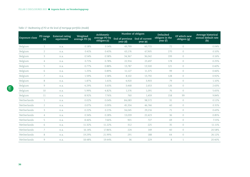### *Table 17: Backtesting of PD at the level of mortgage portfolio (model)*

|                |                 | External rating | Weighted       | Arithmetic                    | Number of obligors                         |          | Defaulted                   | Of which new | Average historical         |
|----------------|-----------------|-----------------|----------------|-------------------------------|--------------------------------------------|----------|-----------------------------|--------------|----------------------------|
| Exposure class | PD range<br>(a) | equivalent      | average PD (b) | average PD by<br>obligors (c) | End of previous End of current<br>year (d) | year (e) | obligors in the<br>year (f) | obligors (g) | annual default rate<br>(h) |
| Belgium        | $\mathbf{1}$    | n.a.            | 0.18%          | 0.14%                         | 49,799                                     | 60,715   | 72                          | $\circ$      | 0.04%                      |
| Belgium        | $\overline{2}$  | n.a.            | 0.41%          | 0.43%                         | 63,176                                     | 67,905   | 270                         | $\circ$      | 0.10%                      |
| Belgium        | 3               | n.a.            | 0.54%          | 0.58%                         | 34,367                                     | 36,042   | 199                         | $\circ$      | 0.16%                      |
| Belgium        | $\overline{4}$  | n.a.            | 0.71%          | 0.78%                         | 22,914                                     | 23,497   | 178                         | $\circ$      | 0.25%                      |
| Belgium        | 5               | n.a.            | 0.77%          | 0.88%                         | 13,787                                     | 13,500   | 121                         | $\circ$      | 0.40%                      |
| Belgium        | 6               | n.a.            | 1.25%          | 0.89%                         | 11,127                                     | 11,375   | 99                          | $\circ$      | 0.46%                      |
| Belgium        | 7               | n.a.            | 1.59%          | 1.58%                         | 8,102                                      | 13,792   | 128                         | $\circ$      | 0.92%                      |
| Belgium        | 8               | n.a.            | 1.87%          | 1.61%                         | 4,920                                      | 3,903    | 79                          | $\circ$      | 1.10%                      |
| Belgium        | 9               | n.a.            | 4.29%          | 3.63%                         | 3,468                                      | 2,653    | 126                         | $\circ$      | 2.63%                      |
| Belgium        | 10              | n.a.            | 5.99%          | 4.82%                         | 1,576                                      | 1,091    | 76                          | $\circ$      | 5.65%                      |
| Belgium        | 11              | n.a.            | 8.92%          | 7.76%                         | 760                                        | 1,459    | 158                         | 99           | 9.84%                      |
| Netherlands    | $\mathbf{1}$    | n.a.            | 0.02%          | 0.04%                         | 84,083                                     | 98,572   | 31                          | $\circ$      | 0.12%                      |
| Netherlands    | $\overline{2}$  | n.a.            | 0.07%          | 0.09%                         | 45,334                                     | 46,746   | 40                          | $\circ$      | 0.31%                      |
| Netherlands    | 3               | n.a.            | 0.22%          | 0.21%                         | 34,045                                     | 29,216   | 71                          | $\circ$      | 0.43%                      |
| Netherlands    | $\overline{4}$  | n.a.            | 0.34%          | 0.28%                         | 13,039                                     | 22,423   | 36                          | $\circ$      | 0.85%                      |
| Netherlands    | 5               | n.a.            | 8.46%          | 7.66%                         | 901                                        | 727      | 69                          | $\circ$      | 7.15%                      |
| Netherlands    | 6               | n.a.            | 11.32%         | 11.22%                        | 312                                        | 225      | 35                          | $\circ$      | 11.11%                     |
| Netherlands    | $\overline{7}$  | n.a.            | 16.14%         | 17.86%                        | 224                                        | 149      | 40                          | $\circ$      | 20.58%                     |
| Netherlands    | $8\,$           | n.a.            | 19.29%         | 21.99%                        | 291                                        | 188      | 64                          | $\circ$      | 26.12%                     |
| Netherlands    | 9               | n.a.            | 18.48%         | 19.44%                        | 36                                         | 229      | 8                           | $\mathbf{1}$ | 20.40%                     |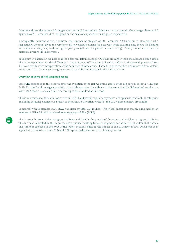Column a shows the various PD ranges used in the IRB modelling. Columns b and c contain the average observed PD figures as of 31 December 2021, weighted on the basis of exposure or unweighted respectively.

Subsequently, columns d and e indicate the number of obligors on 31 December 2020 and on 31 December 2021 respectively. Column f gives an overview of all new defaults during the past year, while column g only shows the defaults for customers newly acquired during the past year (all defaults placed in worst rating). Finally, column h shows the historical average PD (last 5 years).

In Belgium in particular, we note that the observed default rates per PD class are higher than the average default rates. The main explanation for this difference is that a number of loans were placed in default in the second quarter of 2021 due to an overly strict interpretation of the definition of forbearance. These files were rectified and removed from default in October 2021. The PDs per category were also recalibrated upwards in the course of 2021.

### **Overview of flows of risk-weighted assets**

Table **CR8** appended to this report shows the evolution of the risk-weighted assets of the IRB portfolios (both A-IRB and F-IRB) For the Dutch mortgage portfolio, this table excludes the add-ons in the event that the IRB method results in a lower RWA than the one calculated according to the standardised method.

This is an overview of the evolution as a result of full and partial capital repayments, changes in PD and/or LGD categories (including defaults), changes as a result of the annual calibration of the PD and LGD values and new production.

Compared with September 2021, RWA has risen by EUR 56.7 million. This global increase is mainly explained by an increase of EUR 66.8 million related to mortgage portfolios (A-IRB).

The increase in RWA of the mortgage portfolios is driven by the growth of the Dutch and Belgian mortgage portfolios. This increase is limited by the improved asset quality resulting from the migration to the better PD and/or LGD classes. The (limited) decrease in the RWA in the 'other' section relates to the impact of the LGD floor of 10%, which has been applied at portfolio level since 31 March 2021 (previously based on individual exposures).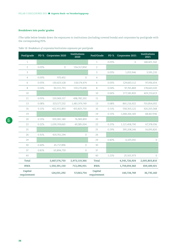# **Breakdown into pools/ grades**

IThe table below breaks down the exposures to institutions (including covered bonds) and corporates by pool/grade with the corresponding PD%.

| Pool/grade             | PD %  | Corporates 2020 | Institutions<br>2020 | Pool/Grade             | PD %  | Corporates 2021 | Institutions<br>2021 |
|------------------------|-------|-----------------|----------------------|------------------------|-------|-----------------|----------------------|
| $\mathbf{1}$           |       |                 |                      | $\mathbf{1}$           | 0.03% | 0               | 148,401,342          |
| $\overline{2}$         | 0.03% | $\circ$         | 134,317,830          | 2                      |       |                 |                      |
| 3                      |       |                 |                      | 3                      | 0.03% | 1,053,946       | 3,595,220            |
| $\overline{4}$         | 0.03% | 970,452         | $\circ$              | $\overline{4}$         |       |                 |                      |
| 6                      | 0.03% | 130,423,528     | 118,574,474          | 6                      | 0.03% | 129,663,112     | 97,936,654           |
| 8                      | 0.04% | 90,315,793      | 159,270,498          | $\,8\,$                | 0.04% | 97,765,869      | 178,663,020          |
| 10                     |       |                 |                      | 10                     | 0.06% | 277,183,820     | 403,210,413          |
| 11                     | 0.05% | 220,969,157     | 498,782,202          | 11                     |       |                 |                      |
| 13                     | 0.08% | 323,577,232     | 1,481,979,749        | 13                     | 0.08% | 865,216,922     | 703,854,002          |
| 16                     | 0.11% | 422,915,893     | 453,825,750          | 16                     | 0.11% | 558,303,122     | 320,203,368          |
| 19                     |       |                 |                      | 19                     | 0.15% | 1,068,266,183   | 68,467,936           |
| 20                     | 0.15% | 929,381,180     | 76,983,859           | 20                     |       |                 |                      |
| 22                     | 0.22% | 1,039,709,665   | 49,385,004           | 22                     | 0.21% | 1,121,458,790   | 67,378,036           |
| 25                     |       |                 |                      | 25                     | 0.29% | 395,208,146     | 14,093,820           |
| 26                     | 0.31% | 419,701,194     | $\mathbb O$          | 26                     |       |                 |                      |
| 29                     |       |                 |                      | 29                     | 0.40% | 6,105,041       | $\circ$              |
| 30                     | 0.44% | 45,717,896      | $\circ$              | 30                     |       |                 |                      |
| 37                     | 0.81% | 63,894,759      | $\circ$              | 37                     |       |                 |                      |
| 40                     |       |                 |                      | 40                     | 1.21% | 25,501,973      | $\circ$              |
| Total                  |       | 3,687,576,750   | 2,973,119,366        | Total                  |       | 4,545,726,924   | 2,005,803,810        |
| <b>RWA</b>             |       | 1,550,391,150   | 713,296,931          | <b>RWA</b>             |       | 1,759,059,360   | 459,189,501          |
| Capital<br>requirement |       | 124,031,292     | 57,063,754           | Capital<br>requirement |       | 140,724,749     | 36,735,160           |

*Table 18: Breakdown of corporates/institutions exposures per pool/grade* 

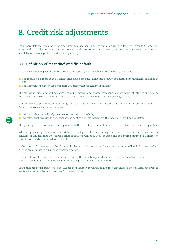# <span id="page-38-0"></span>**8. Credit risk adjustments**

For a more detailed explanation of credit risk (management) and the valuation rules in force, we refer to Chapter 5.3. 'Credit risk' and Chapter 2. 'Accounting policies - valuation rules - impairments', in the Company's IFRS annual report (available on [www.argenta.be](http://www.argenta.be) and [www.argenta.eu](http://www.argenta.eu)).

# **8.1. Definition of 'past due' and 'in default'**

A loan is considered 'past due' in the prudential reporting if at least one of the following criteria is met:

- **The receivable is more than 90 consecutive days past due, taking into account the materiality thresholds included in** CRR;
- $\blacksquare$  The Company has knowledge of factors indicating that repayment is unlikely.

The arrears include outstanding capital, past due interest and related costs (such as late payment interest, fines, fees). The day count of arrears takes into account the materiality thresholds from the CRR regulations.

UTP (unlikely to pay) indicators showing that payment is unlikely are recorded at individual obligor level. Here the Company makes a distinction between:

- Indicators that immediately give rise to a recording of default;
- Indicators that give rise to a manual assessment by a credit manager with a possible recording as a default.

The granting of forbearance measures gives rise to the recording of default in the cases provided for in the CRR regulation.

When a significant portion (more than 20%) of the obligor's total outstanding debt is considered in default, the Company considers it unlikely that the obligor's other obligations will be fully discharged and the entire amount of all claims on this obligor are also classified as in default.

If the criteria for recognising the claim as in default no longer apply, the claim can be remediated if no new default criteria are established during the probation period.

If the conditions for remediation are violated during the probation period, a new period of at least 3 months will start. For claims in default due to forbearance measures, the probation period is 12 months.

Loans that are considered to be in default are consequently reviewed (taking into account also the collateral received) to verify whether impairment losses need to be recognised.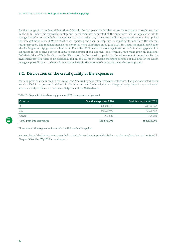<span id="page-39-0"></span>For the change of its prudential definition of default, the Company has decided to use the two-step approach proposed by the ECB. Under this approach, in step one, permission was requested of the supervisor, via an application file to change the definition of default. ECB approval was obtained on 15 January 2020. Following approval, Argenta has applied the new definition since 9 March 2020 in its reporting and then, in step two, is adjusting its models to the internal rating approach. The modified models for non-retail were submitted on 30 June 2021, for retail the model application files for Belgian mortgages were submitted in December 2021, while the model applications for Dutch mortgages will be submitted in the second quarter of 2022. In anticipation of this approval, the Argenta Group must apply an additional DoD (Definition of Default) add-on to the IRB portfolio in the transition period for the adjustment of the models. For the investment portfolio there is an additional add-on of 1.01, for the Belgian mortgage portfolio of 1.06 and for the Dutch mortgage portfolio of 1.01. These add-ons are included in the amount of credit risk under the IRB approach.

# **8.2. Disclosures on the credit quality of the exposures**

Past due positions occur only in the 'retail' and 'secured by real estate' exposure categories. The positions listed below are classified in 'exposures in default' in the internal own funds calculation. Geographically these loans are located almost entirely in the core countries of Belgium and the Netherlands.

#### *Table 19: Geographical breakdown of past due (IRB) risk exposures at year-end*

| Country                  | Past due exposure 2020 | Past due exposure 2021 |
|--------------------------|------------------------|------------------------|
| <b>BE</b>                | 64.916.445             | 78,492,063             |
| NL                       | 93,903,076             | 79,539,457             |
| Other                    | 773.582                | 794,681                |
| Total past due exposures | 159,593,103            | 158,826,201            |

These are all the exposures for which the IRB method is applied.

An overview of the impairments recorded in the balance sheet is provided below. Further explanation can be found in Chapter 5.3 of the BVg IFRS annual report.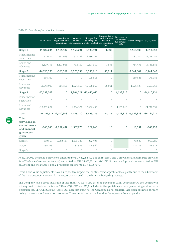|                                                                               | 01/01/2021    | Increase due to<br>origination and<br>acquisition | Decrease<br>due to | to change in<br>derecognition credit risk (net) derecognition | Changes due to<br>Changes due modifications<br>without<br>(net) | Decrease in<br>allowances<br>due to write-<br>offs | Other changes                    | 31/12/2021    |
|-------------------------------------------------------------------------------|---------------|---------------------------------------------------|--------------------|---------------------------------------------------------------|-----------------------------------------------------------------|----------------------------------------------------|----------------------------------|---------------|
| Stage 1                                                                       | $-11,347,234$ | $-2,114,987$                                      | 1,169,291          | 8,993,591                                                     | 1,836                                                           |                                                    | $-1,515,535$                     | $-4,813,038$  |
| Fixed-income<br>securities                                                    | $-7,517,441$  | $-691,063$                                        | 377,139            | 6,486,251                                                     | 0                                                               |                                                    | $-731,044$                       | $-2,076,157$  |
| Loans and<br>advances                                                         | $-3,829,793$  | $-1,423,925$                                      | 792,152            | 2,507,340                                                     | 1,836                                                           |                                                    | $-784,491$                       | $-2,736,881$  |
| Stage 2                                                                       | $-14,710,335$ | $-365,361$                                        | 1,925,359          | 10,306,610                                                    | $-56,011$                                                       |                                                    | $-3,844,304$                     | $-6,744,042$  |
| Fixed-income<br>securities                                                    | $-466,352$    | $\circ$                                           | $\circ$            | 108,548                                                       | $\mathcal{O}$                                                   |                                                    | 180,823                          | $-176,981$    |
| Loans and<br>advances                                                         | $-14,243,983$ | $-365,361$                                        | 1,925,359          | 10,198,062                                                    | $-56,011$                                                       |                                                    | $-4,025,127$                     | $-6,567,062$  |
| Stage 3                                                                       | $-20,092,002$ | 0                                                 |                    | 1,804,521 -10,456,466                                         | $\mathbf 0$                                                     | 4,133,816                                          | 0                                | $-24,610,131$ |
| Fixed-income<br>securities                                                    | $\circ$       | $\circ$                                           | $\circ$            | $\Omega$                                                      | $\Omega$                                                        | $\mathbf{0}$                                       | $\Omega$                         | $\Omega$      |
| Loans and<br>advances                                                         | $-20,092,002$ | $\circ$                                           |                    | 1,804,521 -10,456,466                                         | $\circ$                                                         | 4,133,816                                          | $\circ$                          | $-24,610,131$ |
| Total                                                                         |               | $-46,149,571 -2,480,348$                          | 4,899,170          | 8,843,736                                                     | $-54,175$                                                       |                                                    | 4,133,816 -5,359,838 -36,167,211 |               |
| Total<br>provisions on<br>commitments<br>and financial<br>guarantees<br>given |               | -940,940 -2,252,437                               | 1,937,775          | 267,443                                                       | 10                                                              | $\mathbf 0$                                        | 18,351                           | $-969,798$    |
| Stage 1                                                                       | $-850,567$    | $-2,252,437$                                      | 1,853,788          | 282,404                                                       | $\mathcal{O}$                                                   |                                                    | 43,525                           | $-923,286$    |
| Stage 2                                                                       | $-90,373$     | $\circ$                                           | 83,986             | $-14,962$                                                     | 10                                                              |                                                    | $-25,175$                        | $-46,513$     |
| Stage 3                                                                       | $\mathbf{0}$  | $\circ$                                           | $\circ$            | $\mathcal{O}$                                                 | $\mathcal{O}$                                                   | $\circ$                                            | $\mathcal{O}$                    | $\circ$       |

#### *Table 20: Overview of recorded impairments*

At 31/12/2020 the stage 3 provisions amounted to EUR 20,092,002 and the stages 1 and 2 provisions (including the provision for off-balance sheet commitments) amounted to EUR 26,057,571. At 31/12/2021 the stage 3 provisions amounted to EUR 24,610,131 and the stages 1 and 2 provisions together to EUR 11,557,079.

Overall, the value adjustments have a net positive impact on the statement of profit or loss, partly due to the adjustment of the macroeconomic economic indicators as also used in the internal budgeting process.

The Company has a gross NPL ratio of less than 5%, i.e. 0.46% as of 31 December 2021. Consequently, the Company is not required to disclose the tables CR2-A, CQ2, CQ6 and CQ8 included in the guidelines on non-performing and forborne exposures (cf. EBA/GL/2018/10). Table CQ7 does not apply to the Company as no collateral has been obtained through taking possession and execution processes. The other tables can be found in the separate Excel appendix.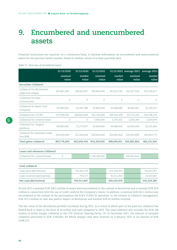# <span id="page-41-0"></span>**9. Encumbered and unencumbered assets**

Financial institutions are required, on a continuous basis, to disclose information on encumbered and unencumbered assets for the previous twelve months, based on median values of at least quarterly data.

|                                                | 31/12/2020    | 31/12/2020  | 31/12/2021    |             | 31/12/2021 average 2021 | average 2021 |
|------------------------------------------------|---------------|-------------|---------------|-------------|-------------------------|--------------|
|                                                | nominal       | market      | nominal       | market      | nominal                 | market       |
|                                                | value         | value       | value         | value       | value                   | value        |
| Securities Collateral                          |               |             |               |             |                         |              |
| Collateral for derivatives<br>(caps and swaps) | 307,481,000   | 330,467,997 | 338,466,000   | 367,615,765 | 321,877,500             | 353,766,671  |
| Collateral for repo<br>transactions            | $\Omega$      | $\Omega$    | $\Omega$      | $\Omega$    | $\Omega$                | $\Omega$     |
| Collateral for Bank Card<br>Company            | 52,000,000    | 54,201,186  | 50,800,000    | 52,968,689  | 49,441,667              | 52,109,472   |
| Collateral for TLTRO                           | 237,390,000   | 248,816,609 | 261,130,000   | 269,542,109 | 257,173,333             | 266,596,515  |
| Collateral for covered bond                    | $\Omega$      | $\Omega$    | 3,000,000     | 3,195,025   | 2,636,364               | 2,829,979    |
| Colleteral for Target2<br>platform             | 50,000,000    | 51,272,927  | 50,000,000    | 50,086,450  | 50,000,000              | 50,191,494   |
| Colateral for obtained credit<br>line NBB      | 250,903,000   | 257,290,624 | 250,963,000   | 255,091,614 | 250,953,000             | 256,657,773  |
| Total given collateral                         | 897,774,000   | 942,049,343 | 954,359,000   | 998,499,651 | 932,081,863             | 982,151,903  |
|                                                |               |             |               |             |                         |              |
| Loans and advances Collateral                  |               |             |               |             |                         |              |
| Collateral for covered bond                    | $\mathcal{O}$ |             | 1,238,209,581 |             | 766,692,444             |              |
|                                                |               |             |               |             |                         |              |
| Cash collateral                                |               |             |               |             |                         |              |
| Cash paid (derivatives)                        |               | 741,105,574 |               | 375,244,974 |                         | 552,637,051  |

*Table 21: Overview of encumbered assets*

| -------------------         |             |             |             |
|-----------------------------|-------------|-------------|-------------|
| Cash paid (derivatives)     | 741,105,574 | 375,244,974 | 552,637,051 |
| Cash received (derivatives) | 793.727     | 45.011.000  | 20.407.667  |
| Net cash (derivatives)      | 740,311,847 | 330,233,974 | 532,229,385 |

At end-2021 a nominal EUR 338.5 million of assets were encumbered in the context of derivatives and a nominal EUR 50.8 million in connection with the use of credit cards by the Company's clients. In addition, a nominal EUR 261.1 million was encumbered in the context of the participation the ECB's TLTRO-III operation. In the context of collateral management, EUR 375.2 million in cash was paid in respect of derivatives and another EUR 45 million received.

The fair value of the derivatives portfolio increased during 2021, as a result of which part of the paid-out collateral has flowed back to Aspa in the form of securities and cash compared to 2020. The total collateral also includes the EUR 168 million of initial margin collateral at the CCP (Central Clearing Party). On 31 December 2021, the amount of overpaid collateral amounted to EUR 3,344,820, for which margin calls were received on 4 January 2022 in an amount of EUR 3,608,153.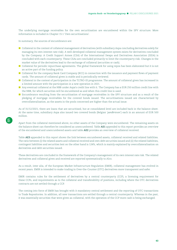The underlying mortgage receivables for the own securitisation are encumbered within the SPV structure. More information is included in Chapter 15.1 'Own securitisations'.

In summary, the sources of encumbrance are:

- Collateral in the context of collateral management of derivatives (with subsidiary Aspa concluding derivatives solely for managing its own interest rate risk). A well-developed collateral management system exists for derivatives concluded by the Company. A Credit Support Annex (CSA) of the International Swaps and Derivatives Association (ISDA) is concluded with each counterparty. These CSAs are concluded primarily to limit the counterparty risk. Changes in the market value of the derivatives lead to the exchange of collateral (securities or cash).
- Collateral for periodic repurchase agreements. The global framework for using repos has been elaborated but it is not an active part of the funding policy.
- Collateral for the company Bank Card Company (BCC) in connection with the issuance and payment flows of payment cards. The amount of collateral given is stable and is periodically reviewed.
- Collateral in the context of participation in the TLTRO-III programme. The amount of collateral given has increased in a limited amount with the participation in a new operation in 2021.
- Any eventual collateral at the NBB under Aspa's credit line with it. The Company has a EUR 250 million credit line with the NBB, for which securities will be encumbered as and when this credit line is used.
- Encumbrance resulting from the securitisation of mortgage receivables in the SPV structure and as a result of the pledging of mortgage receivables for the covered bonds issued. The securitisations issued are characterised by overcollateralisation, as the assets in the pools concerned are higher than the actual issue.

As of 31/12/2021, there are loans that are securitised, but at consolidated level are included back in the balance sheet. At the same time, subsidiary Aspa also issued two covered bonds (Belgian '*pandbrieven*') each in an amount of EUR 500 million.

Apart from the collateral mentioned above, no other assets of the Company were encumbered. The remaining assets on the balance sheet can therefore be considered as unencumbered. Table **AE1** appended to this report provides an overview of the encumbered and unencumbered assets and table **AE2** provides an overview of collateral received.

Table **AE3** appended to this report shows the link between encumbered assets, collateral received and related liabilities. The ratio between (i) the related assets and collateral received and own debt securities issued and (ii) the related liabilities, contingent liabilities and securities lent on the other hand is 124%, which is mainly explained by overcollateralisation on derivatives and debt securities issued.

These derivatives are concluded in the framework of the Company's management of its own interest rate risk. The related derivatives and collateral given and received are reported systematically to Alco.

As a result, inter alia, of the European Market Infrastructure Regulation (EMIR), collateral management has evolved in recent years. EMIR is intended to make trading in Over-the-Counter (OTC) derivatives more transparent and safer.

EMIR contains rules for the settlement of derivatives by a central counterparty (CCP), a licensing requirement for these CCPs, and requirements as to the collateral and transferability of positions, including where the OTC derivatives contracts are not settled through a CCP.

The coming into force of EMIR has brought with it mandatory central settlement and the reporting of OTC transactions to Trade Repositories. In addition, all new transactions are settled through a central counterparty. Whereas in the past, it was essentially securities that were given as collateral, with the operation of the CCP more cash is being exchanged.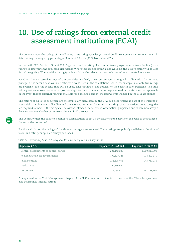# <span id="page-43-0"></span>**10. Use of ratings from external credit assessment institutions (ECAI)**

The Company uses the ratings of the following three rating agencies (External Credit Assessment Institutions - ECAI) in determining the weighting percentages: Standard & Poor's (S&P), Moody's and Fitch.

In line with CRR Articles 138 and 139, Argenta uses the rating of a specific issue programme or issue facility ('issue rating') to determine the applicable risk weight. Where this specific rating is not available, the issuer's rating will be used for risk weighting. Where neither rating type is available, the relevant exposure is treated as an unrated exposure.

Based on these external ratings of the securities involved, a RW percentage is assigned. In line with the imposed principles, the second best available rating is always used in the calculations. When, for example, just only two ratings are available, it is the second that will be used. This method is also applied for the securitisation positions. The table below provides an overview of all exposure categories for which external ratings are used in the standardised approach. In the event that no external rating is available for a specific position, the risk weights included in the CRR are applied.

The ratings of all listed securities are systematically monitored by the CRA sub-department as part of the tracking of credit risk. The financial policy line and the RAF set limits for the minimum ratings that the various asset categories are required to meet. If the ratings fall below the intended limits, this is systematically reported and, where necessary, a decision is taken whether or not to continue to hold the security.

The Company uses the published standard classifications to obtain the risk-weighted assets on the basis of the ratings of the securities concerned.

For this calculation the ratings of the three rating agencies are used. These ratings are publicly available at the time of issue, and rating changes are always published.

| able 22. Over the way babel bill eally neb for writer rathlyb are able at year cria |                     |                     |  |  |  |
|-------------------------------------------------------------------------------------|---------------------|---------------------|--|--|--|
| Exposure (STA)                                                                      | Exposure 31/12/2020 | Exposure 31/12/2021 |  |  |  |
| Central governments or central banks                                                | 4,221,142,230       | 4,580,811,903       |  |  |  |
| Regional and local governments                                                      | 579,827,345         | 478,292,370         |  |  |  |
| Public entities                                                                     | 138,618,096         | 149,951,275         |  |  |  |
| Institutions                                                                        | 87,556,642          |                     |  |  |  |

*Table 22: Overview of Basel STA categories for which ratings are used at year-end*

As explained in the 'Risk Management' chapter of the IFRS annual report (credit risk section), the CRA sub-department also determines internal ratings.

Corporates 179,055,600 191,258,967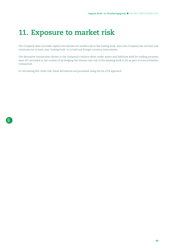# <span id="page-44-0"></span>**11. Exposure to market risk**

The Company does not make capital calculations for market risk in the trading book, since the Company has not had, and continues not to have, any 'trading book' or to hold any foreign currency instruments.

The derivative transactions shown in the Company's balance sheet under assets and liabilities held for trading purposes were all concluded in the context of (a) hedging the interest rate risk of the banking book or (b) as part of a securitisation transaction.

In calculating the credit risk, these derivatives are processed using the SA-CCR approach.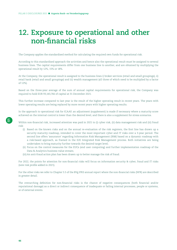# <span id="page-45-0"></span>**12. Exposure to operational and other non-financial risks**

The Company applies the standardised method for calculating the required own funds for operational risk.

According to this standardised approach the activities and hence also the operational result must be assigned to several business lines. The capital requirements differ from one business line to another, and are obtained by multiplying the operational result by 12%, 15% or 18%.

At the Company, the operational result is assigned to the business lines i) broker services (retail and small groupings), ii) retail bank (retail and small groupings) and iii) wealth management (all three of which need to be multiplied by a factor of 12%).

Based on the three-year average of the sum of annual capital requirements for operational risk, the Company was required to hold EUR 93,143,766 of capital at 31 December 2021.

This further increase compared to last year is the result of the higher operating result in recent years. The years with lower operating results are being replaced by more recent years with higher operating results.

In the approach to operational risk for ICAAP, an adjustment (supplement) is made if necessary where a maturity score achieved on the internal control is lower than the desired level, and there is also a supplement for stress scenarios.

Within non-financial risk, increased attention was paid in 2021 to (i) cyber risk, (ii) data management risk and (iii) fraud risk:

- (i) Based on the known risks and on the annual re-evaluation of the risk registers, the first line has drawn up a security maturity roadmap, intended to cover the most important cyber and IT risks over a 3-year period. The second line offers 'assurance' regarding Information Risk Management (IRM) based on a dynamic roadmap with a risk-based approach, as framed in the E2E Integrated Risk Management process. Both initiatives are being undertaken to bring maturity further towards the desired target level;
- (ii) Focus on the control measures for the EUCs (end user computing) and further implementation roadmap of the Data & Analytics business value stream;
- (iii) An anti-fraud action plan has been drawn up to better manage the risk of fraud.

For 2022, the points for attention for non-financial risks will focus on information security & cyber, fraud and IT risks (new risk profile added in 2021).

For the other risks we refer to Chapter 5.5 of the BVg IFRS annual report where the non-financial risks (NFR) are described in greater detail.

The overarching definition for non-financial risks is the chance of negative consequences (both financial and/or reputational damage) as a direct or indirect consequence of inadequate or failing internal processes, people or systems, or of external events.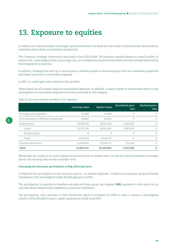# <span id="page-46-0"></span>**13. Exposure to equities**

In addition to a limited number of strategic equity investments, the Bank Pool also holds a limited number of positions in individual shares (from an investment perspective).

The Company's strategic investments amounted to just EUR 62,498. This position contains shares of a small number of entities that, under Belgian bank accounting rules, are considered as financial fixed assets and have already been held by the Company for a long time.

In addition, Company has built up, in recent years, a limited position in shares acquired from an investment perspective and linked, inter alia, to real estate companies.

In 2021, no capital gain was realised on this portfolio.

These shares are all treated using the standardised approach. In addition, a small number of subordinated loans to and participations in associated companies have been processed in this category.

*Table 23: Overview of shares according to STA approach* 

|                                        | Carrying value | Market value | Unrealised gain/<br>loss | Realised gain/<br>loss |
|----------------------------------------|----------------|--------------|--------------------------|------------------------|
| Strategic participations               | 62,498         | 62,498       |                          | $\left($               |
| Participations in affiliated companies | 66,852         | 66,852       |                          | $\Omega$               |
| Investments                            | 16,785,390     | 18,591,016   | 1,805,625                | $\Omega$               |
| Listed                                 | 12,550,716     | 14,356,341   | 1.805.625                | 0                      |
| Private equity                         | $\Omega$       |              |                          | $\Omega$               |
| Other                                  | 4,234,674      | 4,234,674    |                          | $\Omega$               |
| Subordinated loans                     | 12,994,362     | 13,549,122   | 554,760                  | $\Omega$               |
| Total                                  | 29,909,101     | 32,269,487   | 2,360,386                | $\Omega$               |

Shares that are traded on an active market are accounted for at market value. For the very limited portfolio of strategic shares, the carrying value serves as market value.

#### **Processing the insurance participation at BVg CRR scope level**

At BVg level the participation in the insurance pool is - as already explained - treated as an exposure using the Danish Compromise (DC) and weighted under the IRB approach at 370%.

The participation in question is therefore not deducted from equity, see template **INS1** appended to this report for an overview of non-deducted participations in insurance companies.

The participation value amounts to EUR 176,445,506, which is multiplied by 370% in order to obtain a risk-weighted volume of EUR 652,848,373 and a capital requirement of EUR 52,227,870.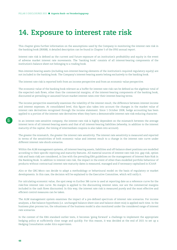# <span id="page-47-0"></span>**14. Exposure to interest rate risk**

This chapter gives further information on the assumptions used by the Company in monitoring the interest rate risk in the banking book (IRRBB). A detailed description can be found in Chapter 5 of the IFRS annual report.

Interest rate risk is defined as the current and future exposure of an institution's profitability and equity in the event of adverse market interest rate movements. The 'banking book' consists of all interest-bearing components of the institution's balance sheet not belonging to a trading book.

Non-interest-bearing assets (including non-interest-bearing elements of the institution's required regulatory equity) are not included in the banking book. The Company's interest-bearing assets belong exclusively to the banking book.

The interest rate risk is reported both from an income perspective and from an economic value perspective.

The economic value of the banking book relevant as a buffer for interest rate risk can be defined as the algebraic total of the expected cash flows, other than the commercial margins, of the interest-bearing components of the banking book, discounted at prevailing or assumed future market interest rates over their interest-bearing terms.

The income perspective essentially examines the volatility of the interest result, the difference between interest income and interest expenses. At consolidated level, this figure also takes into account the changes in the market value of interest rate derivatives recognised through the income statement. Since 1 October 2008, hedge accounting has been applied to a portion of the interest rate derivatives when they have a demonstrable interest rate risk-reducing character.

In an interest rate-sensitive company, the interest rate risk is highly dependent on the mismatch between the average interest term of all interest-bearing assets and that of all interest-bearing liabilities (whereby, in addition to the interest maturity of the capital, the timing of intermediate coupons is also taken into account).

The greater the mismatch, the greater the interest rate sensitivity. The interest rate sensitivity is measured and reported in terms of the sensitivities of both economic value and interest result to a change in the interest rate curve under different interest rate shock scenarios.

Within the ALM management systems, all interest-bearing assets, liabilities and off-balance sheet positions are modelled according to their specific repricing and maturity features. All material sources of interest rate risk (viz. gap risk, option risk and basis risk) are considered, in line with the prevailing EBA guidelines on the management of Interest Rate Risk in the Banking Book. In addition to interest rate risk, the impact in the event of other-than-modelled portfolio behaviour of products without contractual interest rate maturity dates is measured, managed and if necessary capitalised in ICAAP.

Alco or the GRC-Moco can decide to adapt a methodology or behavioural model on the basis of regulatory or market developments. In this case, the decision will be explained to the Executive Committee, which will ratify it.

For calculating economic value, the spot swap vs Euribor 3M curve is used at reporting date as a reference curve for the risk-free interest rate curve. No margin is applied to the discounting interest rates, nor are the commercial margins included in the cash flows discounted. In this way, the interest rate risk is measured purely and the most effective and efficient control measures can be taken.

The ALM management system examines the impact of a pre-defined spectrum of interest rate scenarios. For income analyses, a flat-balance hypothesis (i.e. unchanged balance sheet size and balance sheet mix) is applied each time. In the business plan process too, the robustness of the business model is also monitored under the considered range of interest rate scenarios.

In the context of the EBA standard outlier tests, it becomes 'going forward' a challenge to implement the appropriate hedging policy at sufficiently close range and quickly. For this reason, it was decided at the end of 2021 to set up a Hedging Consultation under Alco supervision.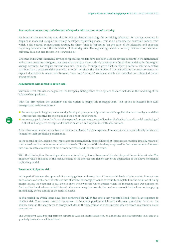#### **Assumptions concerning the behaviour of deposits with no contractual maturity**

For internal risk monitoring and also for ECB prudential reporting, the re-pricing behaviour for savings accounts in Belgium is modelled using an internally developed replicating model. This is an econometric behaviour model from which a risk-optimal reinvestment strategy for these funds is 'replicated' on the basis of the historical and expected re-pricing behaviour and the circulation of these deposits. The replicating model is not only calibrated on historical company data, but also factors in a 'forward look'.

Since the end of 2018, internally developed replicating models have also been used for savings accounts in the Netherlands and current accounts in Belgium. For the Dutch savings accounts this is conceptually the similar model as for the Belgian savings accounts. For Belgian current accounts, the model is simpler, given that its object is rather a volume-sensitive portfolio than a price-sensitive portfolio. In order to reflect the risk profile of this portfolio in the measurements, an explicit distinction is made here between 'core' and 'non-core' volumes, which are modelled on different duration characteristics.

#### **Assumptions with regard to option risk**

Within interest rate risk management, the Company distinguishes three options that are included in the modelling of the balance sheet positions.

With the first option, the customer has the option to prepay his mortgage loan. This option is factored into ALM management system as follows:

- **For mortgages in Belgium, an internally developed prepayment dynamic model is applied that is driven by a modelled** interest rate incentive for the client and the age of the mortgage.
- For mortgages in the Netherlands, the expected prepayments are predicted on the basis of a static model consisting of a short and long-term average and which is based on and kept in line with observations.

Both behavioural models are subject to the internal Model Risk Management Framework and are periodically backtested to monitor their predictive performance.

In the second option, Belgian mortgage rates are automatically capped/floored at interest rate revision dates by means of contractual maximum increase or reduction levels. The impact of this is always captured in the measurement of interest rate risk, in both simulations of both economic value and the interest result.

With the third option, the savings rates are automatically floored because of the statutory minimum interest rate. The impact of this is included in the measurement of the interest rate risk on top of the application of the above-mentioned replicating model.

#### **Treatment of pipeline risk**

In the period between the approval of a mortgage loan and execution of the notarial deeds of sale, market interest rate fluctuations can influence the interest rate at which the mortgage loan is eventually completed. In the situation of rising interest rates, the customer is still able to enjoy the lower rate which applied when the mortgage loan was applied for. On the other hand, where market interest rates are moving downwards, the customer can opt for the lower rate applying immediately before signing of the notarial deeds.

In this period, in which loans have been confirmed for which the rate is not yet established, there is an exposure to pipeline risk. The interest rate risk contained in the credit pipeline which will with great probability 'land' on the balance sheet in the short term, is always included in the determination of the interest rate risk from an economic value perspective.

The Company's ALM sub-department reports to Alco on interest rate risk, on a monthly basis at company level and at a quarterly basis at consolidated level.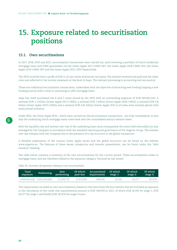# <span id="page-49-0"></span>**15. Exposure related to securitisation positions**

# **15.1. Own securitisations**

In 2017, 2018, 2019 and 2021, securitisation transactions were carried out, each involving a portfolio of Dutch residential mortgage loans with NHG guarantees via the Green Apple 2017-I-NHG SPV, the Green Apple 2018-I-NHG SPV, the Green Apple 2019-I-NHG SPV and the Green Apple 2021-I SPV respectively.

The SPVs involved have a profit of EUR 2,125 per entity (minimum tax basis). The interest received and paid and the other costs are reflected in the income statement at the level of Aspa. The relevant processing is accounting and tax-neutral.

These are traditional securitisation transactions, undertaken with the objective of attracting new funding (tapping a new funding source) with a view to continuing to offer mortgage loans.

Aspa has itself purchased the B and C notes issued by the SPVs with an outstanding exposure of EUR 483,832,545. A notional EUR 1.2 billion (Green Apple 2017-I-NHG), a notional EUR 1 billion (Green Apple 2018-I-NHG), a notional EUR 0.8 billion (Green Apple 2019-I-NHG) and a notional EUR 0.65 billion (Green Apple 2021-I) of notes were initially placed with institutional investors.

Under IFRS, the Green Apple SPVs - which have carried out the securitisation transactions - are fully consolidated. In this way the underlying Dutch mortgage loans come back onto the consolidated entity's balance sheet.

Both the liquidity risk and interest rate risk of the underlying loans (and consequently the notes held internally) are also managed by the Company in accordance with the standard reporting and governance of the Argenta Group. The interest rate risk remains with the Company due to the presence of a cap structure in the global transaction.

A detailed explanation of the various Green Apple issues and the global structure can be found on the website [www.argenta.eu](http://www.argenta.eu). The features of these issues, prospectus and investor presentation, can be found under the "debt issuance" heading.

The table below contains a summary of the own securitisations for the current period. These securitisations relate to mortgage loans, and are therefore related to the exposure category "secured by real estate".

### *Table 24: Overview of exposures relating to own securitisations*

| Total<br>exposure           | Performing | Non-<br>performing |            | Of which: Accumulated<br>past due impairments | Of which<br>stage 1: | Of which<br>stage 2: | Of which<br>stage 3: |
|-----------------------------|------------|--------------------|------------|-----------------------------------------------|----------------------|----------------------|----------------------|
| 2.949.625.418 2.934.420.681 |            | 15.204.737         | 12.917.435 | 248.594                                       | 16.341               | 64.577               | 167.676              |

The impairments recorded on own securitisations (based on the loans from the four entities that are included as exposure in the calculation of the credit risk requirements) amount to EUR 248,594 in 2021, of which EUR 16,341 for stage 1, EUR 64,577 for stage 2 and finally EUR 167,676 for stage 3 loans.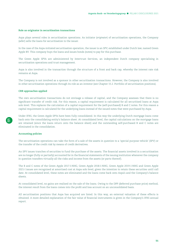#### **Role as originator in securitisation transactions**

Aspa plays several roles in securitisation operations. As initiator (*originator*) of securitisation operations, the Company (*seller*) sells the loans for securitisation to the issuer.

In the case of the Aspa-initiated securitisation operation, the issuer is an SPV, established under Dutch law, named Green Apple BV. This company buys the loans and issues bonds (notes) to pay for this purchase.

The Green Apple SPVs are administered by Intertrust Services, an independent Dutch company specialising in securitisation operations and trust management.

Aspa is also involved in the transaction through the structure of a front and back cap, whereby the interest rate risk remains at Aspa.

The Company is not involved as a sponsor in other securitisation transactions. However, the Company is also involved in other securitisation operations through its role as an investor (see Chapter 15.2. Portfolio of securitisation positions).

#### **CRR approaches applied**

The own securitisation transactions do not envisage a release of capital, and the Company assesses that there is no significant transfer of credit risk. For this reason, a capital requirement is calculated for all securitised loans at Aspa solo level. This replaces the calculation of a capital requirement for the (self-purchased) B and C notes. For this reason a capital requirement is calculated for the underlying loans instead of the issued notes that were purchased by Aspa.

Under IFRS, the Green Apple SPVs have been fully consolidated. In this way the underlying Dutch mortgage loans come back onto the consolidating entity's balance sheet. At consolidated level, the capital calculations on the mortgage loans are retained (since the loans return onto the balance sheet) and the outstanding self-purchased B and C notes are eliminated in the consolidation.

#### **Accounting policies**

The securitisation operations can take the form of a sale of the assets in question to a 'special purpose vehicle' (SPV) or the transfer of the credit risk by means of credit derivatives.

An SPV issues tranches of securities to fund the purchase of the assets. The financial assets involved in a securitisation are no longer (fully or partially) accounted for in the financial statements of the issuing institution whenever the company in question transfers virtually all the risks and income from the assets (or parts thereof).

The B and C notes of the Green Apple 2017-I-NHG, Green Apple 2018-I-NHG, Green Apple 2019-I-NHG and Green Apple 2021-I issues are recognised at amortised cost at Aspa solo level, given the intention to retain these securities until call date. At consolidated level, these notes are eliminated and the loans come back onto Aspa's and the Company's balance sheets.

At consolidated level, no gains are realised on the sale of the loans. Owing to the DPP (deferred purchase price) method, the interest result from the loans comes into the profit and loss account on an unconsolidated basis.

All securitisation positions that Aspa has acquired are listed. In this way, an external valuation of these effects is obtained. A more detailed explanation of the fair value of financial instruments is given in the Company's IFRS annual report.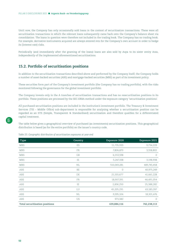<span id="page-51-0"></span>Until now, the Company has only occasionally sold loans in the context of securitisation transactions. These were all securitisation transactions in which the relevant loans subsequently came back onto the Company's balance sheet via consolidation. The loans in question were therefore not included in the trading book. The Company has no trading book. For example, derivative instruments acquired are always entered into for the Company's own account in order to hedge its (interest rate) risks.

Periodically (and immediately after the granting of the loans) loans are also sold by Aspa to its sister entity Aras, independently of the implemented aforementioned securitisations.

# **15.2. Portfolio of securitisation positions**

In addition to the securitisation transactions described above and performed by the Company itself, the Company holds a number of asset-backed securities (ABS) and mortgage-backed securities (MBS) as part of its investment policy.

These securities form part of the Company's investment portfolio (the Company has no trading portfolio), with the risks monitored following the governance for the global investment portfolio.

The Company invests only in the A tranches of securitisation transactions and has no resecuritisation positions in its portfolio. These positions are processed by the SEC-ERBA method under the exposure category 'securitisation positions'.

All purchased securitisation positions are included in the institution's investment portfolio. The Treasury & Investment Services (TIS – Middle Office) sub-department is responsible for analysing whether a securitisation position can be regarded as an STS (Simple, Transparent & Standardised) securitisation and therefore qualifies for a differentiated capital treatment.

The table below gives a geographical overview of purchased (as investments) securitisation positions. This geographical distribution is based (as for the entire portfolio) on the issuer's country code.

# **Type Country Exposure 2020 Exposure 2021** MBS ES 11,735,933 9,734,229 MBS 68802 3,558,802 and TR 68802 and TR 68802 and TR 7,806,870 and TR 3,558,802  $\rm{MBS}$  6,153,598 0 MBS 3,198,938 3,198,938 MBS NL 510,069,281 489,745,458 ABS 6 40,975,249 ABS DE 21,555,677 41,661,228 ABS 18,907,391 46,491,054 ABS IE 2,836,250 25,388,282 ABS 63,183,397 LU LU 45,205,291 63,183,397 ABS 18,301,476 NL 9,395,104 18,301,476 ABS US 973,382 0 **Total securitisation positions 639,886,116 742,238,113**

#### *Table 25: Geographic distribution of securitisation exposures at year-end*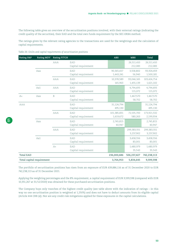The following table gives an overview of the securitisation positions involved, with their external ratings (indicating the credit quality of the securities), their EAD and the total own funds requirement by the SEC-ERBA method.

The ratings given by the relevant rating agencies to the transactions are used for the weightings and the calculation of capital requirements.

| Rating S&P       | Rating MDY                | <b>Rating FITCH</b> |                            | <b>ABS</b>               | <b>MBS</b>               | Total                    |
|------------------|---------------------------|---------------------|----------------------------|--------------------------|--------------------------|--------------------------|
|                  |                           | AAA                 | EAD<br>Capital requirement |                          | 26,511,410<br>212,083    | 26,511,410<br>212,083    |
|                  | Aaa                       |                     | EAD<br>Capital requirement | 90,365,657<br>1,443,241  | 3,558,802<br>56,940      | 93,924,459<br>1,500,181  |
|                  |                           | <b>AAA</b>          | EAD<br>Capital requirement | 10,378,589<br>165,963    | 93,046,165<br>1,455,139  | 103,424,754<br>1,621,102 |
|                  | Aa1                       | <b>AAA</b>          | EAD<br>Capital requirement |                          | 4,794,693<br>115,072     | 4,794,693<br>115,072     |
| $A+$             | Aaa                       | B                   | EAD<br>Capital requirement |                          | 1,467,570<br>58,702      | 1,467,570<br>58,702      |
| <b>AAA</b>       |                           |                     | EAD<br>Capital requirement | 31,124,794<br>495,130    |                          | 31,124,794<br>495,130    |
|                  |                           | <b>AAA</b>          | EAD<br>Capital requirement | 101,385,831<br>1,619,672 | 72,535,700<br>580,263    | 173,921,532<br>2,199,934 |
|                  | Aaa                       |                     | EAD<br>Capital requirement | 2,745,815<br>40,947      |                          | 2,745,815<br>40,947      |
|                  |                           | AAA                 | EAD<br>Capital requirement |                          | 299,383,551<br>3,237,902 | 299,383,551<br>3,237,902 |
|                  | Aa1                       |                     | EAD<br>Capital requirement |                          | 3,458,556<br>83,001      | 3,458,556<br>83,001      |
|                  |                           | $A+$                | EAD<br>Capital requirement |                          | 1,480,979<br>35,543      | 1,480,979<br>35,543      |
| <b>Total EAD</b> |                           |                     |                            | 236,000,686              | 506,237,427              | 742,238,113              |
|                  | Total capital requirement |                     |                            | 3,764,953                | 5,834,645                | 9,599,598                |

*Table 26: EADs and capital requirements of securitisation positions*

The portfolio of securitisation positions has risen from an exposure of EUR 639,886,116 as of 31 December 2020 to EUR 742,238,113 as of 31 December 2021.

Applying the weighting percentages and the 8% requirement, a capital requirement of EUR 9,599,598 (compared with EUR 10,351,267 at 31/12/2020) was obtained for these purchased securitisation positions.

The Company buys only tranches of the highest credit quality (see table above with the indication of ratings – in this way no one securitisation position is weighted at 1,250%) and does not have to deduct amounts from its eligible capital (Article 444 CRR (e)). Nor are any credit risk mitigations applied for these exposures in the capital calculations.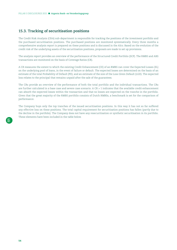# <span id="page-53-0"></span>**15.3. Tracking of securitisation positions**

The Credit Risk Analysis (CRA) sub-department is responsible for tracking the positions of the investment portfolio and the purchased securitisation positions. The purchased positions are monitored systematically. Every three months a comprehensive analysis report is prepared on these positions and is discussed in the Alco. Based on the evolution of the credit risk of the underlying assets of the securitisation positions, proposals are made to set up provisions.

The analysis report provides an overview of the performance of the Structured Credit Portfolio (SCP). The RMBS and ABS transactions are monitored on the basis of Coverage Ratios (CR).

A CR measures the extent to which the existing Credit Enhancement (CE) of an RMBS can cover the Expected Losses (EL) on the underlying pool of loans, in the event of failure or default. The expected losses are determined on the basis of an estimate of the total Probability of Default (PD), and an estimate of the size of the Loss Given Default (LGD). The expected loss relates to the principal that remains unpaid after the sale of the guarantees.

The CRs provide an overview of the performance of both the total portfolio and the individual transactions. The CRs are further calculated in a base case and severe case scenario. A CR > 1 indicates that the available credit enhancement can absorb the expected losses within the transaction and that no losses are expected on the tranche in the portfolio. Given that the great majority of the RMBS portfolio consists of Dutch RMBSs, a benchmark is set for the comparison of performance.

The Company buys only the top tranches of the issued securitisation positions. In this way it has not so far suffered any effective loss on these positions. The total capital requirement for securitisation positions has fallen (partly due to the decline in the portfolio). The Company does not have any resecuritisation or synthetic securitisation in its portfolio. These elements have been included in the table below.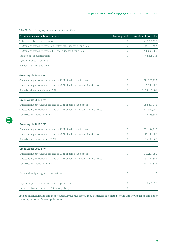*Table 27: Overview of key data securitisation positions*

| Overview securitisation positions                                     | <b>Trading book</b> | Investment portfolio |
|-----------------------------------------------------------------------|---------------------|----------------------|
| Total securitisation portfolio                                        | 0                   | 742,238,113          |
| Of which exposure type MBS (Mortgage Backed Securities)               | $\Omega$            | 506,237,427          |
| Of which exposure type ABS (Asset Backed Securities)                  | $\Omega$            | 236,000,686          |
| Traditional securitisations                                           | 0                   | 742,238,113          |
| Synthetic securitisations                                             | 0                   |                      |
| Resecuritisation positions                                            | $\circ$             | 0                    |
| Green Apple 2017 SPV                                                  |                     |                      |
| Outstanding amount as per end of 2021 of self-issued notes            | 0                   | 571,906,238          |
| Outstanding amount as per end of 2021 of self-purhcased B and C notes | 0                   | 156,000,000          |
| Securtised loans in October 2017                                      | $\Omega$            | 1,353,431,381        |
| Green Apple 2018 SPV                                                  |                     |                      |
| Outstanding amount as per end of 2021 of self-issued notes            | $\circ$             | 558,831,751          |
| Outstanding amount as per end of 2021 of self-purhcased B and C notes | $\Omega$            | 117,300,000          |
| Securtisated loans in June 2018                                       | 0                   | 1,117,243,343        |
| Green Apple 2019 SPV                                                  |                     |                      |
| Outstanding amount as per end of 2021 of self-issued notes            | $\circ$             | 571,144,219          |
| Outstanding amount as per end of 2021 of self-purhcased B and C notes | 0                   | 112,400,000          |
| Securtisated loans in June 2019                                       | 0                   | 935,793,960          |
| Green Apple 2021 SPV                                                  |                     |                      |
| Outstanding amount as per end of 2021 of self-issued notes            | $\circ$             | 646,117,596          |
| Outstanding amount as per end of 2021 of self-purhcased B and C notes | 0                   | 98,132,545           |
| Securtisated loans in June 2021                                       | $\circ$             | 743,220,838          |
| Assets already assigned to securitise                                 | 0                   | $\circ$              |
| Capital requirement securitisation positions                          | $\mathcal O$        | 9,599,598            |
| Deducted from equity or 1.250% weighting                              | $\mathsf{O}\xspace$ | n.a.                 |

Both at unconsolidated and consolidated levels, the capital requirement is calculated for the underlying loans and not on the self-purchased Green Apple notes.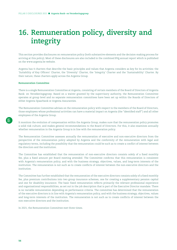# <span id="page-55-0"></span>**16. Remuneration policy, diversity and integrity**

This section provides disclosures on remuneration policy (both substantive elements and the decision-making process for arriving at this policy). Most of these disclosures are also included in the combined BVg annual report which is published on the [www.argenta.be](http://www.argenta.be) website.

Argenta has 4 charters that describe the basic principles and values that Argenta considers as key for its activities: the 'Suitability of Key Officers' Charter, the 'Diversity' Charter, the 'Integrity' Charter and the 'Sustainability' Charter. By their nature, these charters apply across the Argenta Group.

### **Remuneration Committee**

There is a single Remuneration Committee at Argenta, consisting of certain members of the Board of Directors of Argenta Bank- en Verzekeringsgroep. Based on a waiver granted by the supervisory authority, the Remuneration Committee operates at group level and no separate remuneration committees have been set up within the Boards of Directors of either Argenta Spaarbank or Argenta Assuranties.

The Remuneration Committee advises on the remuneration policy with respect to the members of the Board of Directors, those employees whose professional activities can have a material impact on Argenta (the "identified staff") and all other employees of the Argenta Group.

It monitors the evolution of compensation within the Argenta Group, makes sure that the remuneration policy promotes a solid risk culture, and makes general recommendations to the Board of Directors. For this, it also examines annually whether remuneration in the Argenta Group is in line with the remuneration policy.

The Remuneration Committee assesses annually the remuneration of executive and non-executive directors from the perspective of the remuneration policy adopted by Argenta and the conformity of the remuneration with legal and regulatory terms, including the possibility that the remuneration could be such as to create a conflict of interest between the directors and the institution.

The Committee has established that the remuneration of non-executive directors consists solely of a fixed monthly fee, plus a fixed amount per Board meeting attended. The Committee confirms that this remuneration is consistent with Argenta's remuneration policy, and with the business strategy, objectives, values, and long-term interests of the institution. The remuneration is not such as to create conflicts of interest between the non-executive directors and the institution.

The Committee has further established that the remuneration of the executive directors consists solely of a fixed monthly fee, plus premium contributions into two group insurance schemes, one for creating a supplementary pension capital and one for disability insurance. The basic fixed remuneration reflects primarily the relevant professional experience and organisational responsibilities, as set out in the job description that is part of the Executive Director mandate. There is no variable remuneration depending on performance criteria. The committee has determined that the remuneration of the executive directors is in line with Argenta's remuneration policy, and with the business strategy, objectives, values and long-term interests of the institution. The remuneration is not such as to create conflicts of interest between the non-executive directors and the institution.

In 2021, the Remuneration Committee met three times.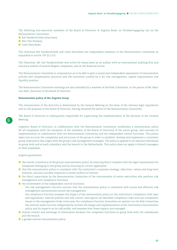The following non-executive members of the Board of Directors of Argenta Bank- en Verzekeringsgroep sits on the Remuneration Committee:

- Raf Vanderstichele (chairman)
- **Bart Van Rompuy**
- Carlo Henriksen

The chairman Raf Vanderstichele and Carlo Henriksen are independent members of the Remuneration Committee as stipulated in article 7:87 §1 CCA.

The Chairman, Mr. Raf Vanderstichele was active for many years as an auditor with an international auditing firm and statutory auditor of several Belgian companies, also in the financial sector.

The Remuneration Committee is composed so as to be able to give a sound and independent assessment of remuneration policies and compensation practices and the incentives created by it for risk management, capital requirements and liquidity position.

The Remuneration Committee meetings are also attended by a member of the Risk Committee, in the person of Mr. Marc van Heel, chairman of the Board of Directors.

#### **Remuneration policy of the Argenta Group**

The remuneration of the directors is determined by the General Meeting on the basis of the relevant legal regulations and on the proposal of the Board of Directors, having obtained the advice of the Remuneration Committee.

The Board of Directors is subsequently responsible for supervising the implementation of the decision of the General Meeting.

Argenta's Board of Directors, in collaboration with the Remuneration Committee, establishes a remuneration policy for all employees (with the exception of the members of the Board of Directors) of the entire group, and oversees its implementation in collaboration with the Remuneration Committee and the independent control functions. This policy takes into account the complexity and structures of the group in order to establish, develop and implement a consistent group-wide policy that aligns with the group's risk management strategies. The policy is applied to all relevant individuals at group level and at each subsidiary and the branch in the Netherlands. This policy does not apply to branch managers or their employees.

Argenta guarantees:

- $\blacksquare$  the overall consistency of the group's remuneration policy, by ensuring that it complies with the legal requirements for companies belonging to the group and by ensuring its correct application
- that the remuneration policy is consistent with the institution's corporate strategy, objectives, values and long-term interests, and also includes measures to avoid conflicts of interest
- the direct supervision by the Remuneration Committee of the remuneration of senior executives who perform risk management and compliance functions
- $\blacksquare$  the involvement of the independent control functions:
	- the risk management function ensures that the remuneration policy is consistent with sound and effective risk management and promotes sound risk management
	- the compliance function analyses the impact of the remuneration policy on the institution's compliance with laws and regulations, internal policies and risk culture, and reports all identified compliance risks and non-compliance issues to the management body; every year the compliance function formulates an opinion via the Risk Committee
	- the internal audit function independently reviews the design and implementation of the institution's remuneration policy and its impacts on its risk profile, and assesses how these impacts are managed
- mutual contact and exchange of information between the competent functions at group level with the subsidiaries and the branch
- a gender-neutral remuneration policy.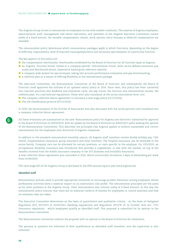The Argenta Group strives to remunerate its employees in line with market conditions. The salaries of Argenta employees, administrative staff, management and senior executives, and members of the Argenta Executive Committee consist solely of a fixed amount. No variable compensation, shares, stock options, entry bonuses or deferred compensation are awarded.

The remuneration policy determines which remuneration packages apply to which functions, depending on the degree of difficulty, responsibility, level of required training/experience and necessary specialisation of a particular function.

The key aspects of this policy are:

- the compensation benchmarks: benchmarks established by the Board of Directors for all function types at Argenta
- an Argenta 'function house', linked to a company-specific 'remuneration house' (with sector-defined minimum pay scales and benchmark-driven, experience-based gross reference salaries)
- a company-wide system for pay increases, taking into account performance evaluation and pay benchmarking
- $\blacksquare$  a cafeteria plan as a means of offering flexibility in the remuneration package.

The Executive Committee, the Remuneration Committee of the Board of Directors and subsequently the Board of Directors itself approved the outlines of an updated salary policy in 2016. Since then, this policy has been converted into concrete practices (the feedback and evaluation cycle, the pay round, the function and remuneration houses, the cafeteria plan, etc.) and internal regulations. These were also translated, at the social consultation level, into

- $\blacksquare$  The company collective labour agreement to introduce a new wage policy (22/12/2016);
- The job classification protocol (07/12/2016).

In 2018, the harmonisation of the Articles of Association was also discussed with the social partners and translated into a company collective labour agreement.

All these evolutions are summarised in the new 'Remuneration policy for Argenta non-directors' submitted for approval to the Board of Directors on 26/03/2019, with an update by the Board of Directors on 30/03/2021 (after seeking the opinion of the Remuneration Committee). This describes the principles that Argenta applies to achieve sustainable and correct remuneration for the employees (non-directors) of Argenta companies.

In addition to the standard remuneration (monthly salary), all Argenta staff members receive double holiday pay, 13th month, hospitalisation insurance, group insurance and meal vouchers. The hospital insurance can be extended to the entire family. Company cars can be allocated for certain positions, or costs specific to the employer. On 1/05/2020, an occupational disability insurance was introduced that provides a supplement, in line with the market, on top of the benefits received from the health insurance company or the ZIV (Sickness and Invalidity Insurance). A new collective labour agreement was concluded in 2020, which structurally introduces 2 days of teleworking per week from 01/09/2020.

The total wage bill of the Argenta Group is disclosed in the IFRS annual reports (see [www.argenta.be\)](http://www.argenta.be).

#### **Identified staff**

Remuneration policies need to provide appropriate incentives to encourage prudent behaviour among employees whose professional activities have a material impact on an institution's risk profile. The remuneration principles are the same as for other positions in the Argenta Group. Their remuneration also consists solely of a fixed amount. In this way the remuneration policy ensures that there are no material conflicts of interest for employees in control positions and that no excessive risks are taken.

The Executive Committee determines on the basis of quantitative and qualitative criteria - on the basis of Delegated Regulation (EU) 2021/923 of 25/03/2021 (banking regulations) and Regulation 2015/35 of 10 October 2014 Art. 275c (insurance regulation) - which employees qualify as identified staff. This proposal is submitted for its opinion to the Remuneration Committee.

The Remuneration Committee submits the proposal with its opinion to the Board of Directors for ratification.

The persons in question are informed of their qualification as identified staff members, and the supervisor is also informed.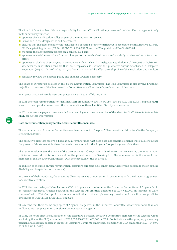The Board of Directors has ultimate responsibility for the staff identification process and policies. The management body in its supervisory function:

- $\blacksquare$  approves the identification policy as part of the remuneration policy;
- is involved in the design of the self-assessment;
- ensures that the assessment for the identification of staff is properly carried out in accordance with Directive 2013/36/ EU, Delegated Regulation (EU) No. 2021/923 of 25/03/2021 and the EBA guidelines EBA/GL/2021/04;
- $\blacksquare$  monitors the identification process on a continuous basis;
- **a** approves material exemptions from or changes to the established policy and carefully studies and monitors their effect;
- approves exclusions of employees in accordance with Article 4(2) of Delegated Regulation (EU) 2021/923 of 25/03/2021 whenever the institutions consider that these employees do not meet the qualitative criteria established in Delegated Regulation (EU) 2021/923 of 25/03/2021 , as they do not materially affect the risk profile of the institution, and monitors this;
- regularly reviews the adopted policy and changes it where necessary.

The Board of Directors is assisted in this by the Remuneration Committee. The Risk Committee is also involved, without prejudice to the tasks of the Remuneration Committee, as well as the independent control functions.

At Argenta Group, 56 people were designated as Identified Staff during 2021.

In 2021 the total remuneration for Identified Staff amounted to EUR 10,871,199 (EUR 9,989,221 in 2020). Template **REM5** shown in the appendix breaks down the remuneration of these Identified Staff by business area.

In 2021, a severance payment was awarded to an employee who was a member of the Identified Staff. We refer to template **REM3** for further information.

### **Note on remuneration policy for Executive Committee members**

The remuneration of Executive Committee members is set out in Chapter 7 "Remuneration of directors" in the Company's IFRS annual report.

The executive directors receive a fixed annual remuneration that does does not contain elements that could encourage the pursuit of short-term objectives that are inconsistent with the Argenta Group's long-term objectives.

The remuneration meets the terms of the CBFA (now FSMA) Regulation of 8 February 2011 concerning the remuneration policies of financial institutions, as well as the provisions of the Banking Act. The remuneration is the same for all members of the Executive Committees, with the exception of the chairman.

In addition to the fixed annual remuneration, executive directors also benefit from three group policies (pension capital, disability and hospitalisation insurance).

At the end of their mandates, the executive directors receive compensation in accordance with the directors' agreement for executive directors.

In 2021, the basic salary of Marc Lauwers (CEO of Argenta and chairman of the Executive Committees of Argenta Banken Verzekeringsgroep, Argenta Spaarbank and Argenta Assuranties) amounted to EUR 649,200, an increase of 0.37% compared with 2020. On top of this came a contribution to the supplementary pension and disability group policies amounting to EUR 117,516 (EUR 116,879 in 2020).

This means that there are no employees at Argenta Group, even in the Executive Committee, who receive more than one million euros. Template REM4 therefore does not apply to Argenta.

In 2021, the total direct remuneration of the executive directors/Executive Committee members of the Argenta Group (excluding that of the CEO), amounted to EUR 1,830,000 (EUR 1,605,900 in 2020). Contributions to the group supplementary pension and disability policies in respect of Executive Committee members, excluding the CEO, amounted to EUR 343,977 (EUR 302,343 in 2020).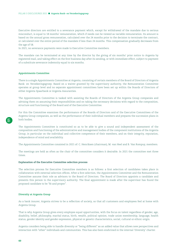Executive directors are entitled to a severance payment which, except for withdrawal of the mandate due to serious misconduct, is equal to 18 months' remuneration, which if needs can be viewed as variable remuneration. Its amount is based on the annual gross remuneration, calculated over the 24 months prior to the decision to terminate the contract, or calculated over the entire period of the mandate if less than 24 months. This compensation gradually decreases from the age of 58.

In 2021, no severance payments were made to Executive Committee members.

The mandate can be terminated at any time by the director by the giving of six months' prior notice to Argenta by registered mail, and taking effect on the first business day after its sending, or with immediate effect, subject to payment of a substitute severance indemnity equal to six months.

#### **Appointments Committee**

There is a single Appointments Committee at Argenta, consisting of certain members of the Board of Directors of Argenta Bank- en Verzekeringsgroep. Based on a waiver granted by the supervisory authority, the Remuneration Committee operates at group level and no separate appointment committees have been set up within the Boards of Directors of either Argenta Spaarbank or Argenta Assuranties.

The Appointments Committee is tasked with assisting the Boards of Directors of the Argenta Group companies and advising them on assuming their responsibilities and on taking the necessary decisions with regard to the composition, structure and functioning of the Board and of the Executive Committee.

For this the Committee examines the performance of the Boards of Directors and of the Executive Committees of the Argenta Group companies, as well as the performance of their individual members and prepares the succession plans in both bodies.

The Appointments Committee is constituted so as to be able to give a sound and independent assessment of the composition and functioning of the administrative and management bodies of the component institutions of the Argenta Group, in particular on the individual and collective competence of their members, and on their integrity, reputation, independence of mind and availability.

The Appointments Committee consisted in 2021 of: C. Henriksen (chairman), M. van Heel and B. Van Rompuy, members.

The meetings are held as often as the chair of the committee considers it desirable. In 2021 the committee met three times.

#### **Explanation of the Executive Committee selection process**

The selection process for Executive Committee members is as follows: a first selection of candidates takes place in collaboration with external selection offices. After a first selection, the Appointments Committee and the Remuneration Committee assume their role as advisors to the Board of Directors. The Board of Directors appoints a candidate and presents this person to the supervisory authority. The final appointment is made after the supervisor has found the proposed candidate to be "fit and proper".

#### **Diversity at Argenta Group**

As a bank insurer, Argenta strives to be a reflection of society, so that all customers and employees feel at home with Argenta Group.

That is why Argenta Group gives every employee equal opportunities, with the focus on talent regardless of gender, age, disability, belief, philosophy, marital status, birth, wealth, political opinion, trade union membership, language, health status, gender identity and gender expression, physical or genetic characteristics, social, cultural or ethnic origin.

Argenta considers being able to handle diversity or "being different" as an added value that allows new perspectives and interaction with "other" individuals and communities. This has also been enshrined in the internal 'Diversity' charter.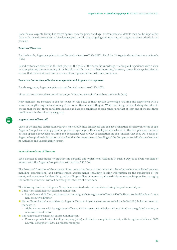Nonetheless, Argenta Group has target figures, only for gender and age. Certain personal details may not be kept (other than with the written consent of the data subject). In this way targeting and reporting with regard to these criteria is not possible.

#### **Boards of Directors**

For the Boards, Argenta applies a target female/male ratio of 33% (2025). Six of the 15 Argenta Group directors are female (40%).

New directors are selected in the first place on the basis of their specific knowledge, training and experience with a view to strengthening the functioning of the board in which they sit. When recruiting, however, care will always be taken to ensure that there is at least one candidate of each gender in the last three candidates.

#### **Executive Committee, effective management and Argenta management**

For above groups, Argenta applies a target female/male ratio of 33% (2025).

Three of the six Executive Committee and/or "effective leadership" members are female (50%).

New members are selected in the first place on the basis of their specific knowledge, training and experience with a view to strengthening the functioning of the committee in which they sit. When recruiting, care will always be taken to ensure that the last three candidates include at least one candidate of each gender and that at least one of the last three candidates is in the minority age group.

#### **Argenta head office staff**

Given of the healthy distribution between male and female employees and the good reflection of society in terms of age, Argenta Group does not apply specific gender or age targets. New employees are selected in the first place on the basis of their specific knowledge, training and experience with a view to strengthening the function that they will occupy at Argenta Group. More information can be found in the respective sub-headings of the Company's social balance sheet and its Activities and Sustainability Report.

### **External mandates of directors**

Each director is encouraged to organise his personal and professional activities in such a way as to avoid conflicts of interest with the Argenta Group (in line with Article 7:96 CCA)

The Boards of Directors of the Argenta Group companies have in their internal rules of procedure established policies, including organisational and administrative arrangements (including keeping information on the application of the same), and procedures for identifying and avoiding conflicts of interest or, where this is not reasonably possible, managing the conflicts of interest without harming the interests of customers.

The following directors of Argenta Group have exercised external mandates during the past financial year:

- Carlo Henriksen holds an external mandate in:
	- Royal Ostend Golf Club, a cooperative company, with its registered office at 8420 De Haan, Koninklijke Baan 2, as a non-executive director;
- Marie Claire Pletinckx (mandate at Argenta BVg and Argenta Assuranties ended on 30/04/2021) holds an external mandate in:
	- Alpha Insurance, with its registered office at 1040 Brussels, Nerviërslaan 85, not listed on a regulated market, as non-executive director;
- Raf Vanderstichele holds an external mandate in:
	- Korora, a private limited liability company (bvba), not listed on a regulated market, with its registered office at 3000 Leuven, Refugehof 4/0301, as general manager;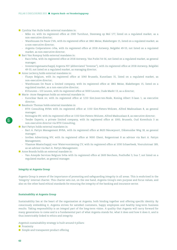- **Cynthia Van Hulle holds external mandates in:** 
	- Miko nv, with its registered office at 2300 Turnhout, Steenweg op Mol 177, listed on a regulated market, as a non-executive director;
	- Warehouses De Pauw CVA, with its registered office at 1861 Meise, Blakebergen 15, listed on a regulated market, as a non-executive director;
	- Argenta Coöperatieve cvba, with its registered office at 2018 Antwerp, Belgiëlei 49-53, not listed on a regulated market, as non-executive director;
- Bart Van Rompuy holds external mandates in:
	- Raco bvba, with its registered office at 2018 Antwerp, Van Putlei 54-56, not listed on a regulated market, as general manager;
	- Investeringsmaatschappij Argenta NV (abbreviated "Investar"), with its registered office at 2018 Antwerp, Belgiëlei 49-53, not listed on a regulated market, as managing director;
- Anne Leclercq holds external mandates in:
	- Fluxys Belgium, with its registered office at 1040 Brussels, Kunstlaan 31, listed on a regulated market, as non-executive director;
	- Warehouses De Pauw a limited company, with its registered office at 1861 Meise, Blakebergen 15, listed on a regulated market, as a non-executive director;
	- KULeuven UZ Leuven, with its registered office at 3000 Leuven, Oude Markt 13, as a director;
- **Marie- Anne Haegeman holds an external mandate in:** 
	- Euroclear Bank nv, with its registered office at 1210 Sint-Joost-ten-Node, Koning Albert II-laan 1, as executive director;
- $\blacksquare$  Baudouin Thomas holds external mandates in:
	- BTH Consulting BVBA with its registered office at 1150 Sint-Pieters-Woluwe, Alfred Madouxlaan 8, as general manager;
	- Reimagine BV, with its registered office at 1150 Sint-Pieters-Woluwe, Alfred Madouxlaan 8, as executive director;
	- Tender Experts, a private limited company, with its registered office at 1000, Brussels, Oud Korenhuis 3 as non-executive director via BTH Consulting;
- **Bart Pattyn holds external mandates in:** 
	- Bart A. Pattyn Management BVBA, with its registered office at 8620 Nieuwpoort, Diksmuidse Weg 18, as general manager;
	- Invibes Advertising NV, with its registered office at 9000 Ghent, Reigerstraat 8 as advisor via Bart A. Pattyn Management;
	- Vlaamse Maatschappij voor Watervoorziening CV, with its registered office at 1030 Schaerbeek, Vooruitstraat 189, as an advisor via Bart A. Pattyn Management;
- **Anne Brands holds an external mandate in:** 
	- Van Ameyde Services Belgium bvba with its registered office at 2600 Berchem, Posthoflei 3, bus 7, not listed on a regulated market, as general manager.

#### **Integrity at Argenta Group**

Argenta Group is aware of the importance of promoting and safeguarding integrity in all areas. This is enshrined in the 'Integrity' internal charter. This charter sets out, on the one hand, Argenta Group's own purpose and focus values, and also on the other hand ethical standards for ensuring the integrity of the banking and insurance sector.

### **Sustainability at Argenta Group**

Sustainability lies at the heart of the organisation at Argenta, both binding together and offering specific identity. By consciously embedding it, Argenta strives for satisfied customers, happy employees and healthy long-term business results. Taking responsibility is an integral part of the long-term vision. A quality that Argenta will carry forward for many generations to come and is a fundamental part of what Argenta stands for, what it does and how it does it, and is thus inextricably linked to ethics and integrity.

Argenta's sustainability strategy is built around 4 pillars:

- **Proximity**
- Simple and transparent product offering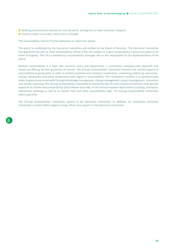- Banking and Insurance should not cost the earth, aiming for a a lower economic footprint
- **Positive impact on society: every euro is valuable.**

The Sustainability Charter further elaborates on these four pillars.

The policy is established by the Executive Committee and ratified by the Board of Directors. The Executive Committee has appointed the CEO as Chief Sustainability Officer (CSO). His mission is to give sustainability a prominent place at all levels of Argenta. The CSO is assisted by a sustainability manager, who is also responsible for the implementation of the policy.

Because sustainability is a topic that concerns every (sub-)department, a centralised, company-wide approach was chosen as offering the best guarantee of success. The (Group) Sustainability Committee monitors the various aspects of sustainability at group level, in order to achieve consistent and coherent coordination, monitoring, follow-up, awarenessraising, adjustment and policy preparation with regard to sustainability. The committee's mission is to systematically make Argenta more sustainable through knowledge management, change management, project management, innovation and, finally, reporting. The (Group) Sustainability Committee is chaired by the CSO and consists of members with specific expertise in climate and sustainability (ESG) themes and risks, in the various business departments (Lending, Insurance, Investment, Banking) as well as in climate risks and other sustainability risks. The (Group) Sustainability Committee meets quarterly.

The (Group) Sustainability Committee reports to the Executive Committee. In addition, an Investment Exclusion Committee is active within Argenta Group, which also reports to the Executive Committee.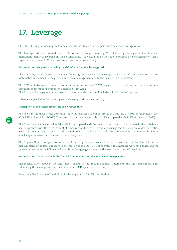# <span id="page-63-0"></span>**17. Leverage**

The CRR/CRD regulations require financial institutions to calculate, report and track their leverage ratio.

The leverage ratio is a non-risk based rule to limit leveraged financing. This it does by placing a limit on financial institutions' ability to leverage on their capital base. It is calculated as the ratio (expressed as a percentage) of Tier 1 capital to total on- and off-balance sheet exposures (non-weighted).

#### **Process for tracking and managing the risk of an excessive leverage ratio**

The Company tracks closely its leverage financing. In the RAF, the leverage ratio is one of the indicators that are systematically included in the periodic reports to management and to the Board's Risk Committee.

The RAF limits framework provides for a minimum red zone of 3.375%, a green zone from 4% upwards and aims, as a self-imposed target, for a gradual evolution to 5% for Aspa.

The Financial Management department also reports on this ratio and includes it in all internal reports.

Table **LR2** appended to this report gives the leverage ratio of the Company.

#### **Description of the factors impacting the leverage ratio**

As shown in the table in the appendix, the total leverage ratio exposure as of 31/12/2021 is EUR 47,763,868,083 (EUR 46,668,879,413 as of 31/12/2020). The corresponding leverage ratio is is 5.23% (compared with 5.27% at the end of 2020).

The Company's leverage ratio has fallen slightly compared with the previous year owing to the increase in the on-balance sheet exposures with the reinvestment of funds received from the growth of savings and the issuance of debt securities (securitisations, EMTN, TLTRO-III and covered bonds). This increase is relatively greater than the increase in equity, which explains an overall decrease in the leverage ratio.

The Argenta Group has opted to make use of the temporary exclusion of certain exposures to central banks from the measurement of the total exposure in the context of the COVID-19 pandemic. If this measure were not applied and the monetary reserve at the ECB not deducted from the aggregate measure, the leverage ratio would be 4.91%.

#### **Reconciliation of total assets in the financial statements and the leverage ratio exposures**

The reconciliation between the total assets shown in the annual financial statements and the total exposure for calculating the leverage ratio can be found in table **LR1** appended to this report.

Based on a Tier 1 capital of 2,497,211,416, a leverage ratio of 5.23% was obtained.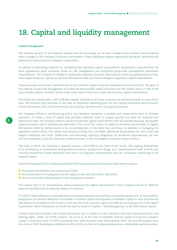# <span id="page-64-0"></span>**18. Capital and liquidity management**

#### **Capital management**

The dynamic growth of the financial markets and the increasing use of more complex bank products have produced major changes in the Company's business environment. These challenges require appropriate personnel, processes and systems for monitoring the Company's risk position.

In addition to describing methods for calculating the regulatory capital requirements (quantitative requirements), the Basel agreements place increased stress on risk management and integrated group-wide management (qualitative requirements). The Company is obliged to implement adequate processes and systems aimed at guaranteeing its longterm capital adequacy, taking into account all material risks and future changes in regulatory capital requirements.

These processes are known internationally as the Internal Capital Adequacy Assessment Process (ICAAP). The goal of the Argenta Group's risk management is to have the best possible capital structure and risk control, equal to that of the major market players, and with which at the same time it continues to meet the statutory capital requirements.

Executing the business plan, with sufficient capital available at all times to pursue the planned growth, is a key factor here. The business plan becomes in this way an important anchoring point for the various (normative and economic) ICAAP calculations, with the ICAAP results also playing a decisive role in the approval process.

The Company follows a self-financing policy and therefore maintains a prudent and conservative level of dividend payments. To retain a level of capital that provides sufficient room to support growth and meet the financial and operational risks, the Company seeks to satisfy its potential capital requirements with (a) retained earnings, (b) possible capital increases, and (c) subordinated alternative Tier 1 and Tier 2 loans. In addition, decisions may be taken to lighten the balance sheet by selling assets or by securitising part of the retail loan portfolios. In addition to managing the regulatory capital ratios, the capital requirements arising from the MREL (Minimum Requirement for own funds and Eligible Liabilities) and ALAC (Additional Loss-Absorbing Capacity) obligations (or minimum requirements) are also actively monitored, as are (d) senior non-preferred issues, so that the Argenta Group has robust solvency.

The risks to which the Company is exposed require a risk buffer in the form of own funds. The ongoing development of its activities as a conventional savings bank and hence, among other things, as a 'transformation bank' (a bank that converts (transforms) funds deposited short-term into long-term investments), calls for continuous monitoring of the required capital.

ICAAP incorporates all the Company and Bank Pool's procedures and calculations that serve to ensure:

- $\blacksquare$  the proper identification and measuring of risks;
- $\blacksquare$  the maintenance of of adequate internal capital in line with the bank's risk profile;
- the use and further development of risk management systems.

This means that in all circumstances (stress scenarios) the capital requirements of the Company and all its different parts are satisfied with an adequate degree of certainty.

In ICAAP, capital adequacy is assessed from an economic perspective and from a normative perspective. In the economic perspective, an internal definition of available or internal capital and required or economic capital is used. All material risk factors are modelled in the ICAAP. In this way the total economic capital provides an accurate picture of the capital requirement. More information on ICAAP can also be found in Chapter 5 'Risk Management' in the IFRS annual reports.

A direct link exists between the ICAAP calculations and a number of RAF indicators with their associated limits and flashing lights. Under the 99.9% scenario, the focus is on the ratio of available internal capital to required economic capital. A minimum limit of 120% is proposed here, with the green zone starting from 130%. Pro-actively Argenta aims for a ratio of 156% (including an additional buffer of 20%), so that the Company always has a comfortable capital situation.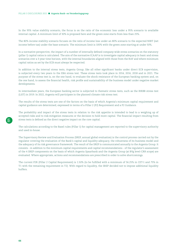In the 95% value stability scenario, the focus is on the ratio of the economic loss under a 95% scenario to available internal capital. A minimum limit of 30% is proposed here and the green zone starts from less than 25%.

The 80% income stability scenario focuses on the ratio of income loss under an 80% scenario to the expected NIBT (net income before tax) under the base scenario. The minimum limit is 100% with the green zone starting at under 50%.

In a normative perspective, the impact of a number of internally defined company-wide stress scenarios on the statutory (pillar 1) capital ratios is calculated. The aim of the normative ICAAP is to investigate capital adequacy in basic and stress scenarios over a 3-year time horizon, with the internal boundaries aligned with those from the RAF and where minimum capital ratios as set by the ECB must always be respected.

In addition to the internal stress tests, Argenta Group, like all other significant banks under direct ECB supervision, is subjected every two years to the EBA stress test. These stress tests took place in 2014, 2016, 2018 and in 2021. The purpose of the stress test is, on the one hand, to evaluate the shock resistance of the European banking system and, on the one hand, to assess the financial health, risk profile and sustainability of the business model under negative market developments.

In intermediate years, the European banking sector is subjected to thematic stress tests, such as the IRRBB stress test (LiST) in 2019. In 2022, Argenta will participate in the planned climate risk stress test.

The results of the stress tests are one of the factors on the basis of which Argenta's minimum capital requirement and capital guidance are determined, expressed in terms of a Pillar 2 (P2) Requirement and a P2 Guidance.

The probability and impact of the stress tests in relation to the risk appetite is intended to lead to a weighing up of accepted risks and to risk-mitigation measures or the decision to hold more capital. The financial impact resulting from stress tests is defined as the direct negative impact on the core capital.

The calculations according to the Basel rules (Pillar 1) for capital management are reported to the supervisory authority and used in-house.

The Supervisory Review and Evaluation Process (SREP, annual global evaluation) is the control process carried out by the regulator covering the evaluation of the Bank's capital and liquidity adequacy, the robustness of its business model and the adequacy of its risk governance framework. The result of the SREP is communicated annually to the Argenta Group. It consists - in addition to the minimum capital requirements and capital recommendations - of the regulator's assessment of the 4 SREP components on the basis of which Argenta Spaarbank and the Argenta Group (at BVg level-CRR scope) are evaluated. Where appropriate, actions and recommendations are prescribed in order to solve shortcomings.

The current P2R (Pillar 2 Capital Requirement) is 1.50% (to be fulfilled with a minimum of 56.25% in CET-1 and 75% in T1 with the remaining requirement in T2). With regard to liquidity, the SREP decided not to impose additional liquidity buffers.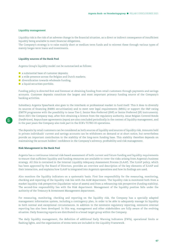### **Liquidity management**

Liquidity risk is the risk of an adverse change in the financial situation, as a direct or indirect consequence of insufficient liquidity being available to meet financial obligations.

The Company's strategy is to raise mainly short or medium term funds and to reinvest these through various types of mainly longer-term loans and investments.

#### **Liquidity sources of the Bank Pool**

Argenta Group's liquidity model can be summarised as follows:

- a substantial base of customer deposits;
- $\blacksquare$  a wide presence across the Belgian and Dutch markets;
- diversification towards wholesale funding;
- a liquid securities portfolio.

Funding policy is directed first and foremost at obtaining funding from retail customers through payments and savings accounts. Customer deposits constitute the largest and most important primary funding source of the Company's banking activities.

Subsidiary Argenta Spaarbank also goes to the interbank or professional market to fund itself. This it does to diversify its sources of financing (RMBS securitisation) and to meet new legal requirements (MREL) or support the S&P rating (EMTN programme with the possibility to issue Tier-2, Senior Non-Preferred (SNP) or Senior Preferred (SP) instruments). Since 2021 the Company may, after first obtaining a licence from the regulatory authority, issue Belgian Covered Bonds (*Pandbrieven*). Repurchase agreements (repos) are also concluded periodically in the context of liquidity management, and in the past years the Company also took part in the ECB's TLTRO-III operations.

The deposits by retail customers can be considered as both sources of liquidity and sources of liquidity risk. Amounts held in private individuals' current and savings accounts can be withdrawn on demand or at short notice, but nevertheless provide an important contribution to the stability of the long-term funding base. This stability therefore depends on maintaining the account holders' confidence in the Company's solvency, profitability and risk management.

### **Risk Management in the Bank Pool**

Argenta has a continuous internal risk-based assessment of both current and future funding and liquidity requirements to ensure that sufficient liquidity and funding resources are available to cover the risks arising from Argenta's business strategy. All this is contained in the Internal Liquidity Adequacy Assessment Process (ILAAP). The ILAAP policy, which has been approved by the Board of Directors, provides an overview and description of the key elements of ILAAP and their interaction, and explains how ILAAP is integrated into Argenta's operations and how its findings are used.

Alco monitors the liquidity indicators on a systematic basis. First line responsibility for the measuring, monitoring, checking and reporting of the liquidity risk lies with the ALM department. The liquidity risk is monitored both from a market liquidity risk perspective (liquidation value of assets) and from a refinancing risk perspective (funding stability). The second-line responsibility lies with the Risk department. Management of the liquidity position falls under the authority of the Treasury & Investment Management department.

For measuring, monitoring, checking and reporting on the liquidity risk, the Company has a specially adapted management information system, including a contingency plan, in order to be able to adequately manage its liquidity in both normal and exceptional circumstances. In addition to the extensive regulatory reporting, extensive internal reporting has also been developed. In this way, management and other stakeholders are fully aware of the evolving situation. Daily financing reports are distributed to a broad target group within the Company.

The daily liquidity management, the definition of additional Early Warning Indicators (EWIs), operational limits or flashing lights, and the organisation of stress tests are included in the Liquidity Framework.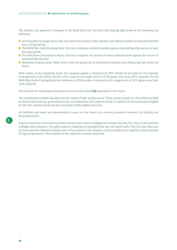The liquidity risk appetite is managed in the Bank Pool's RAF by limits and flashing light levels on the following risk indicators:

- LCR (Liquidity Coverage Ratio): this ratio tests the liquidity buffer against a pre-defined outflow of financial liabilities over a 30 day period;
- The NSFR (Net Stable Funding Ratio): this ratio compares available liquidity against required liquidity over an at least one-year period:
- **The AER (Asset Encumbrance Ratio): this ratio compares the amount of unencumbered assets against the volume of** protected deposits and;
- Wholesale funding ratios: these ratios track the proportion of institutional funding and refinancing risk within set limits.

With respect to the regulatory ratios, the company applies a minimum of 105% (border of red zone) for the Liquidity Coverage Ratio (LCR) within the RAF, with a (pro-active) target ratio of 137.5% (green zone from 125% upwards). For the NSFR (Net Stable Funding Ratio) the minimum is 105% (border of red zone), with a target ratio of 132% (green zone from 120% upwards).

The LCR and the underlying components can be found in table **LIQ1** appended to this report.

The immediately available liquidity sources consist of high-quality assets. These consist mainly of a diversified portfolio of central bank reserves, government bonds, securitisations and corporate bonds. In addition to the liquid assets eligible for the LCR, Argenta Group also has a portfolio of ECB-eligible securities.

All liabilities and assets are denominated in euros, so that there is no currency mismatch between the liquidity and financing sources.

Argenta maintains a derivatives portfolio merely with a view to hedging the interest rate risk. The value of this portfolio is hedged with collateral. The assets used as collateral are excluded from the LCR liquid buffer. The LCR also takes into account potential collateral outflows due to fluctuations in the valuation of the portfolio and a negative rating evolution of Argenta Spaarbank. The evolution of the collateral is closely monitored.